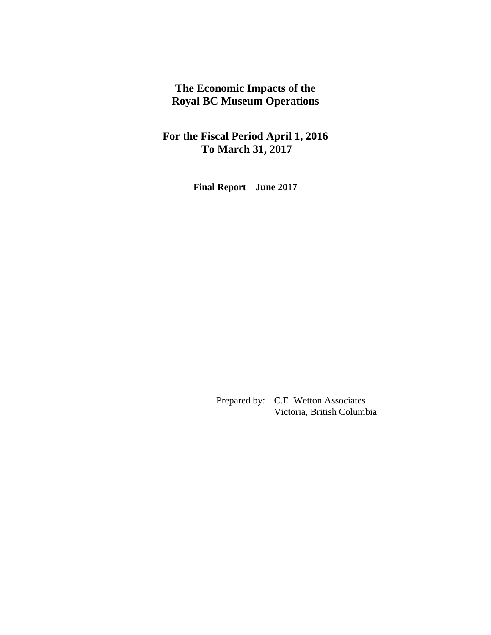**The Economic Impacts of the Royal BC Museum Operations** 

**For the Fiscal Period April 1, 2016 To March 31, 2017** 

**Final Report – June 2017** 

Prepared by: C.E. Wetton Associates Victoria, British Columbia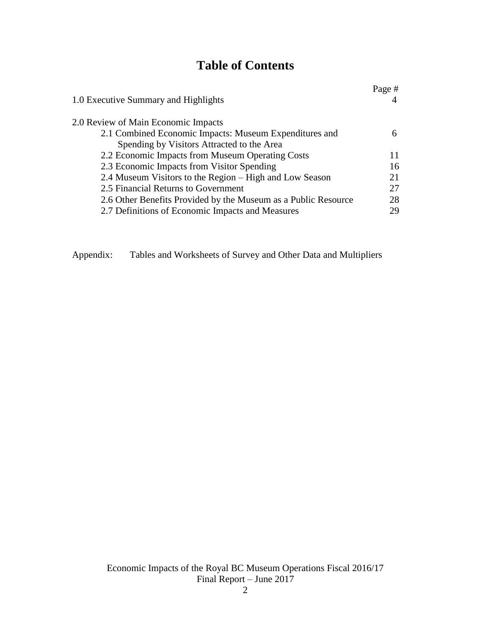# **Table of Contents**

| 1.0 Executive Summary and Highlights                           | Page # |
|----------------------------------------------------------------|--------|
| 2.0 Review of Main Economic Impacts                            |        |
| 2.1 Combined Economic Impacts: Museum Expenditures and         |        |
| Spending by Visitors Attracted to the Area                     |        |
| 2.2 Economic Impacts from Museum Operating Costs               |        |
| 2.3 Economic Impacts from Visitor Spending                     | 16     |
| 2.4 Museum Visitors to the Region - High and Low Season        | 21     |
| 2.5 Financial Returns to Government                            | 27     |
| 2.6 Other Benefits Provided by the Museum as a Public Resource | 28     |
| 2.7 Definitions of Economic Impacts and Measures               | 29     |

Appendix: Tables and Worksheets of Survey and Other Data and Multipliers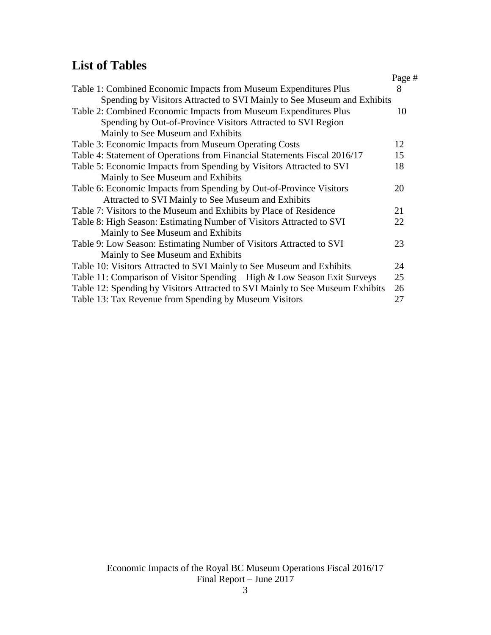# **List of Tables**

|                                                                               | Page # |
|-------------------------------------------------------------------------------|--------|
| Table 1: Combined Economic Impacts from Museum Expenditures Plus              | 8      |
| Spending by Visitors Attracted to SVI Mainly to See Museum and Exhibits       |        |
| Table 2: Combined Economic Impacts from Museum Expenditures Plus              | 10     |
| Spending by Out-of-Province Visitors Attracted to SVI Region                  |        |
| Mainly to See Museum and Exhibits                                             |        |
| Table 3: Economic Impacts from Museum Operating Costs                         | 12     |
| Table 4: Statement of Operations from Financial Statements Fiscal 2016/17     | 15     |
| Table 5: Economic Impacts from Spending by Visitors Attracted to SVI          | 18     |
| Mainly to See Museum and Exhibits                                             |        |
| Table 6: Economic Impacts from Spending by Out-of-Province Visitors           | 20     |
| Attracted to SVI Mainly to See Museum and Exhibits                            |        |
| Table 7: Visitors to the Museum and Exhibits by Place of Residence            | 21     |
| Table 8: High Season: Estimating Number of Visitors Attracted to SVI          | 22     |
| Mainly to See Museum and Exhibits                                             |        |
| Table 9: Low Season: Estimating Number of Visitors Attracted to SVI           | 23     |
| Mainly to See Museum and Exhibits                                             |        |
| Table 10: Visitors Attracted to SVI Mainly to See Museum and Exhibits         | 24     |
| Table 11: Comparison of Visitor Spending – High & Low Season Exit Surveys     | 25     |
| Table 12: Spending by Visitors Attracted to SVI Mainly to See Museum Exhibits | 26     |
| Table 13: Tax Revenue from Spending by Museum Visitors                        | 27     |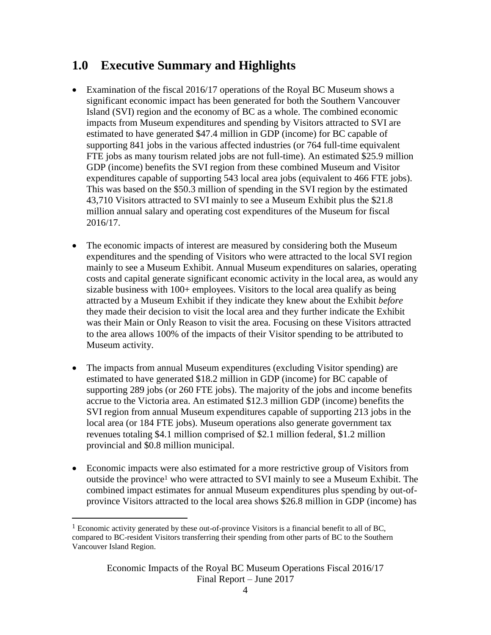# **1.0 Executive Summary and Highlights**

- Examination of the fiscal 2016/17 operations of the Royal BC Museum shows a significant economic impact has been generated for both the Southern Vancouver Island (SVI) region and the economy of BC as a whole. The combined economic impacts from Museum expenditures and spending by Visitors attracted to SVI are estimated to have generated \$47.4 million in GDP (income) for BC capable of supporting 841 jobs in the various affected industries (or 764 full-time equivalent FTE jobs as many tourism related jobs are not full-time). An estimated \$25.9 million GDP (income) benefits the SVI region from these combined Museum and Visitor expenditures capable of supporting 543 local area jobs (equivalent to 466 FTE jobs). This was based on the \$50.3 million of spending in the SVI region by the estimated 43,710 Visitors attracted to SVI mainly to see a Museum Exhibit plus the \$21.8 million annual salary and operating cost expenditures of the Museum for fiscal 2016/17.
- The economic impacts of interest are measured by considering both the Museum expenditures and the spending of Visitors who were attracted to the local SVI region mainly to see a Museum Exhibit. Annual Museum expenditures on salaries, operating costs and capital generate significant economic activity in the local area, as would any sizable business with 100+ employees. Visitors to the local area qualify as being attracted by a Museum Exhibit if they indicate they knew about the Exhibit *before* they made their decision to visit the local area and they further indicate the Exhibit was their Main or Only Reason to visit the area. Focusing on these Visitors attracted to the area allows 100% of the impacts of their Visitor spending to be attributed to Museum activity.
- The impacts from annual Museum expenditures (excluding Visitor spending) are estimated to have generated \$18.2 million in GDP (income) for BC capable of supporting 289 jobs (or 260 FTE jobs). The majority of the jobs and income benefits accrue to the Victoria area. An estimated \$12.3 million GDP (income) benefits the SVI region from annual Museum expenditures capable of supporting 213 jobs in the local area (or 184 FTE jobs). Museum operations also generate government tax revenues totaling \$4.1 million comprised of \$2.1 million federal, \$1.2 million provincial and \$0.8 million municipal.
- Economic impacts were also estimated for a more restrictive group of Visitors from outside the province<sup>1</sup> who were attracted to SVI mainly to see a Museum Exhibit. The combined impact estimates for annual Museum expenditures plus spending by out-ofprovince Visitors attracted to the local area shows \$26.8 million in GDP (income) has

<sup>&</sup>lt;sup>1</sup> Economic activity generated by these out-of-province Visitors is a financial benefit to all of BC, compared to BC-resident Visitors transferring their spending from other parts of BC to the Southern Vancouver Island Region.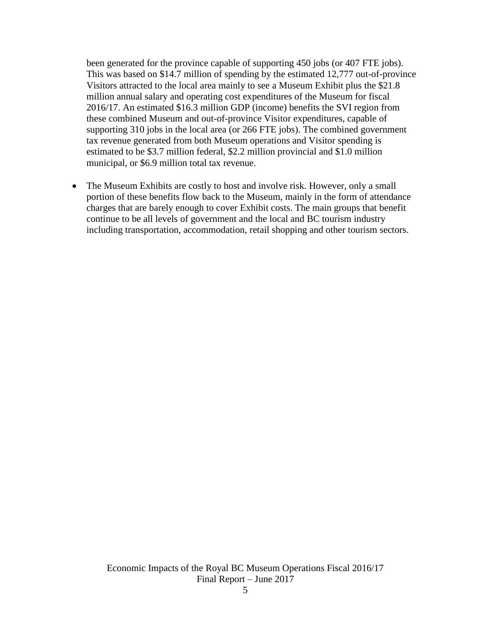been generated for the province capable of supporting 450 jobs (or 407 FTE jobs). This was based on \$14.7 million of spending by the estimated 12,777 out-of-province Visitors attracted to the local area mainly to see a Museum Exhibit plus the \$21.8 million annual salary and operating cost expenditures of the Museum for fiscal 2016/17. An estimated \$16.3 million GDP (income) benefits the SVI region from these combined Museum and out-of-province Visitor expenditures, capable of supporting 310 jobs in the local area (or 266 FTE jobs). The combined government tax revenue generated from both Museum operations and Visitor spending is estimated to be \$3.7 million federal, \$2.2 million provincial and \$1.0 million municipal, or \$6.9 million total tax revenue.

• The Museum Exhibits are costly to host and involve risk. However, only a small portion of these benefits flow back to the Museum, mainly in the form of attendance charges that are barely enough to cover Exhibit costs. The main groups that benefit continue to be all levels of government and the local and BC tourism industry including transportation, accommodation, retail shopping and other tourism sectors.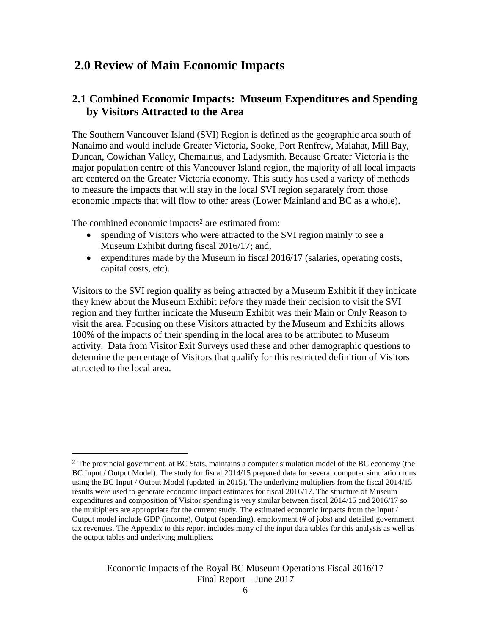# **2.0 Review of Main Economic Impacts**

# **2.1 Combined Economic Impacts: Museum Expenditures and Spending by Visitors Attracted to the Area**

The Southern Vancouver Island (SVI) Region is defined as the geographic area south of Nanaimo and would include Greater Victoria, Sooke, Port Renfrew, Malahat, Mill Bay, Duncan, Cowichan Valley, Chemainus, and Ladysmith. Because Greater Victoria is the major population centre of this Vancouver Island region, the majority of all local impacts are centered on the Greater Victoria economy. This study has used a variety of methods to measure the impacts that will stay in the local SVI region separately from those economic impacts that will flow to other areas (Lower Mainland and BC as a whole).

The combined economic impacts<sup>2</sup> are estimated from:

 $\overline{a}$ 

- spending of Visitors who were attracted to the SVI region mainly to see a Museum Exhibit during fiscal 2016/17; and,
- expenditures made by the Museum in fiscal  $2016/17$  (salaries, operating costs, capital costs, etc).

Visitors to the SVI region qualify as being attracted by a Museum Exhibit if they indicate they knew about the Museum Exhibit *before* they made their decision to visit the SVI region and they further indicate the Museum Exhibit was their Main or Only Reason to visit the area. Focusing on these Visitors attracted by the Museum and Exhibits allows 100% of the impacts of their spending in the local area to be attributed to Museum activity. Data from Visitor Exit Surveys used these and other demographic questions to determine the percentage of Visitors that qualify for this restricted definition of Visitors attracted to the local area.

 $2$  The provincial government, at BC Stats, maintains a computer simulation model of the BC economy (the BC Input / Output Model). The study for fiscal 2014/15 prepared data for several computer simulation runs using the BC Input / Output Model (updated in 2015). The underlying multipliers from the fiscal 2014/15 results were used to generate economic impact estimates for fiscal 2016/17. The structure of Museum expenditures and composition of Visitor spending is very similar between fiscal 2014/15 and 2016/17 so the multipliers are appropriate for the current study. The estimated economic impacts from the Input / Output model include GDP (income), Output (spending), employment (# of jobs) and detailed government tax revenues. The Appendix to this report includes many of the input data tables for this analysis as well as the output tables and underlying multipliers.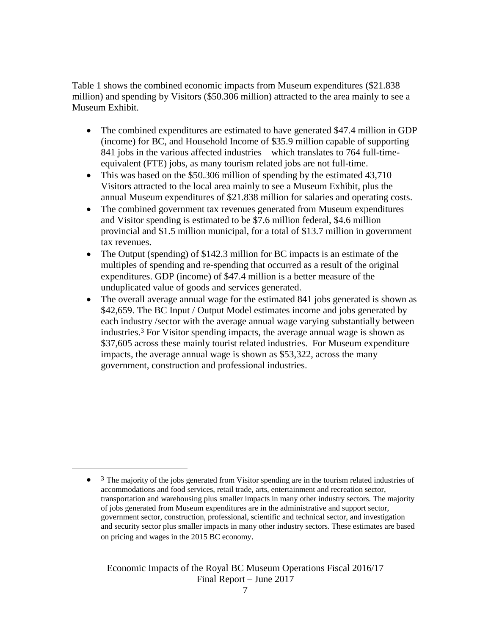Table 1 shows the combined economic impacts from Museum expenditures (\$21.838 million) and spending by Visitors (\$50.306 million) attracted to the area mainly to see a Museum Exhibit.

- The combined expenditures are estimated to have generated \$47.4 million in GDP (income) for BC, and Household Income of \$35.9 million capable of supporting 841 jobs in the various affected industries – which translates to 764 full-timeequivalent (FTE) jobs, as many tourism related jobs are not full-time.
- This was based on the \$50,306 million of spending by the estimated 43,710 Visitors attracted to the local area mainly to see a Museum Exhibit, plus the annual Museum expenditures of \$21.838 million for salaries and operating costs.
- The combined government tax revenues generated from Museum expenditures and Visitor spending is estimated to be \$7.6 million federal, \$4.6 million provincial and \$1.5 million municipal, for a total of \$13.7 million in government tax revenues.
- The Output (spending) of \$142.3 million for BC impacts is an estimate of the multiples of spending and re-spending that occurred as a result of the original expenditures. GDP (income) of \$47.4 million is a better measure of the unduplicated value of goods and services generated.
- The overall average annual wage for the estimated 841 jobs generated is shown as \$42,659. The BC Input / Output Model estimates income and jobs generated by each industry /sector with the average annual wage varying substantially between industries.<sup>3</sup> For Visitor spending impacts, the average annual wage is shown as \$37,605 across these mainly tourist related industries. For Museum expenditure impacts, the average annual wage is shown as \$53,322, across the many government, construction and professional industries.

 $\overline{a}$ 

 $\bullet$ <sup>3</sup> The majority of the jobs generated from Visitor spending are in the tourism related industries of accommodations and food services, retail trade, arts, entertainment and recreation sector, transportation and warehousing plus smaller impacts in many other industry sectors. The majority of jobs generated from Museum expenditures are in the administrative and support sector, government sector, construction, professional, scientific and technical sector, and investigation and security sector plus smaller impacts in many other industry sectors. These estimates are based on pricing and wages in the 2015 BC economy.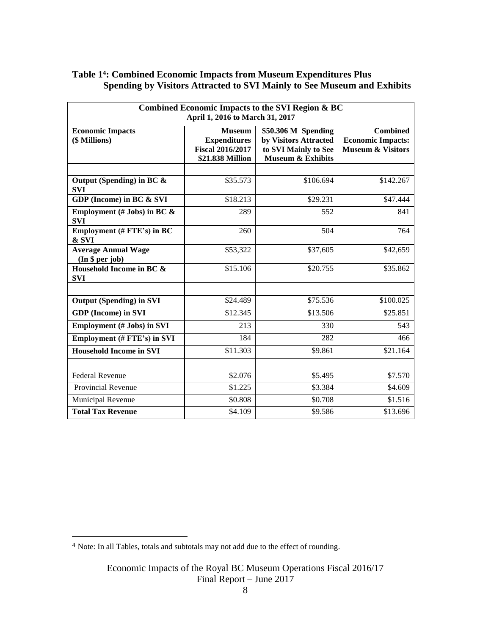## **Table 14: Combined Economic Impacts from Museum Expenditures Plus Spending by Visitors Attracted to SVI Mainly to See Museum and Exhibits**

| Combined Economic Impacts to the SVI Region & BC<br>April 1, 2016 to March 31, 2017 |                                                                                     |                                                                                                      |                                                                             |  |  |  |
|-------------------------------------------------------------------------------------|-------------------------------------------------------------------------------------|------------------------------------------------------------------------------------------------------|-----------------------------------------------------------------------------|--|--|--|
| <b>Economic Impacts</b><br>(\$ Millions)                                            | <b>Museum</b><br><b>Expenditures</b><br><b>Fiscal 2016/2017</b><br>\$21.838 Million | \$50.306 M Spending<br>by Visitors Attracted<br>to SVI Mainly to See<br><b>Museum &amp; Exhibits</b> | <b>Combined</b><br><b>Economic Impacts:</b><br><b>Museum &amp; Visitors</b> |  |  |  |
| Output (Spending) in BC $\&$<br><b>SVI</b>                                          | \$35.573                                                                            | \$106.694                                                                                            | \$142.267                                                                   |  |  |  |
| GDP (Income) in BC & SVI                                                            | \$18.213                                                                            | \$29.231                                                                                             | \$47.444                                                                    |  |  |  |
| Employment (# Jobs) in BC $\&$<br><b>SVI</b>                                        | 289                                                                                 | 552                                                                                                  | 841                                                                         |  |  |  |
| Employment (# FTE's) in BC<br>& SVI                                                 | 260                                                                                 | 504                                                                                                  | 764                                                                         |  |  |  |
| <b>Average Annual Wage</b><br>(In § per job)                                        | \$53,322                                                                            | \$37,605                                                                                             | \$42,659                                                                    |  |  |  |
| Household Income in BC &<br><b>SVI</b>                                              | \$15.106                                                                            | \$20.755                                                                                             | \$35.862                                                                    |  |  |  |
| <b>Output (Spending) in SVI</b>                                                     | \$24.489                                                                            | \$75.536                                                                                             | \$100.025                                                                   |  |  |  |
|                                                                                     |                                                                                     |                                                                                                      |                                                                             |  |  |  |
| <b>GDP</b> (Income) in SVI                                                          | \$12.345                                                                            | \$13.506                                                                                             | \$25.851                                                                    |  |  |  |
| <b>Employment (# Jobs) in SVI</b>                                                   | 213                                                                                 | 330                                                                                                  | 543                                                                         |  |  |  |
| <b>Employment (# FTE's) in SVI</b>                                                  | 184                                                                                 | 282                                                                                                  | 466                                                                         |  |  |  |
| <b>Household Income in SVI</b>                                                      | \$11.303                                                                            | \$9.861                                                                                              | \$21.164                                                                    |  |  |  |
|                                                                                     |                                                                                     |                                                                                                      |                                                                             |  |  |  |
| <b>Federal Revenue</b>                                                              | \$2.076                                                                             | \$5.495                                                                                              | \$7.570                                                                     |  |  |  |
| <b>Provincial Revenue</b>                                                           | \$1.225                                                                             | \$3.384                                                                                              | \$4.609                                                                     |  |  |  |
| Municipal Revenue                                                                   | \$0.808                                                                             | \$0.708                                                                                              | \$1.516                                                                     |  |  |  |
| <b>Total Tax Revenue</b>                                                            | \$4.109                                                                             | \$9.586                                                                                              | \$13.696                                                                    |  |  |  |

<sup>&</sup>lt;sup>4</sup> Note: In all Tables, totals and subtotals may not add due to the effect of rounding.

Economic Impacts of the Royal BC Museum Operations Fiscal 2016/17 Final Report – June 2017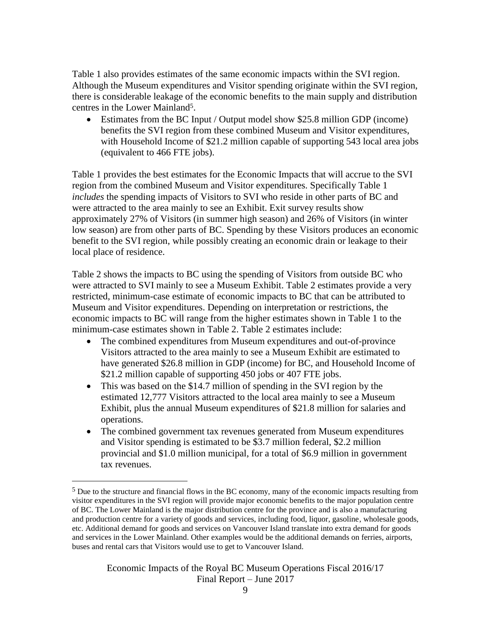Table 1 also provides estimates of the same economic impacts within the SVI region. Although the Museum expenditures and Visitor spending originate within the SVI region, there is considerable leakage of the economic benefits to the main supply and distribution centres in the Lower Mainland5.

 Estimates from the BC Input / Output model show \$25.8 million GDP (income) benefits the SVI region from these combined Museum and Visitor expenditures, with Household Income of \$21.2 million capable of supporting 543 local area jobs (equivalent to 466 FTE jobs).

Table 1 provides the best estimates for the Economic Impacts that will accrue to the SVI region from the combined Museum and Visitor expenditures. Specifically Table 1 *includes* the spending impacts of Visitors to SVI who reside in other parts of BC and were attracted to the area mainly to see an Exhibit. Exit survey results show approximately 27% of Visitors (in summer high season) and 26% of Visitors (in winter low season) are from other parts of BC. Spending by these Visitors produces an economic benefit to the SVI region, while possibly creating an economic drain or leakage to their local place of residence.

Table 2 shows the impacts to BC using the spending of Visitors from outside BC who were attracted to SVI mainly to see a Museum Exhibit. Table 2 estimates provide a very restricted, minimum-case estimate of economic impacts to BC that can be attributed to Museum and Visitor expenditures. Depending on interpretation or restrictions, the economic impacts to BC will range from the higher estimates shown in Table 1 to the minimum-case estimates shown in Table 2. Table 2 estimates include:

- The combined expenditures from Museum expenditures and out-of-province Visitors attracted to the area mainly to see a Museum Exhibit are estimated to have generated \$26.8 million in GDP (income) for BC, and Household Income of \$21.2 million capable of supporting 450 jobs or 407 FTE jobs.
- This was based on the \$14.7 million of spending in the SVI region by the estimated 12,777 Visitors attracted to the local area mainly to see a Museum Exhibit, plus the annual Museum expenditures of \$21.8 million for salaries and operations.
- The combined government tax revenues generated from Museum expenditures and Visitor spending is estimated to be \$3.7 million federal, \$2.2 million provincial and \$1.0 million municipal, for a total of \$6.9 million in government tax revenues.

 $\overline{a}$ 

<sup>&</sup>lt;sup>5</sup> Due to the structure and financial flows in the BC economy, many of the economic impacts resulting from visitor expenditures in the SVI region will provide major economic benefits to the major population centre of BC. The Lower Mainland is the major distribution centre for the province and is also a manufacturing and production centre for a variety of goods and services, including food, liquor, gasoline, wholesale goods, etc. Additional demand for goods and services on Vancouver Island translate into extra demand for goods and services in the Lower Mainland. Other examples would be the additional demands on ferries, airports, buses and rental cars that Visitors would use to get to Vancouver Island.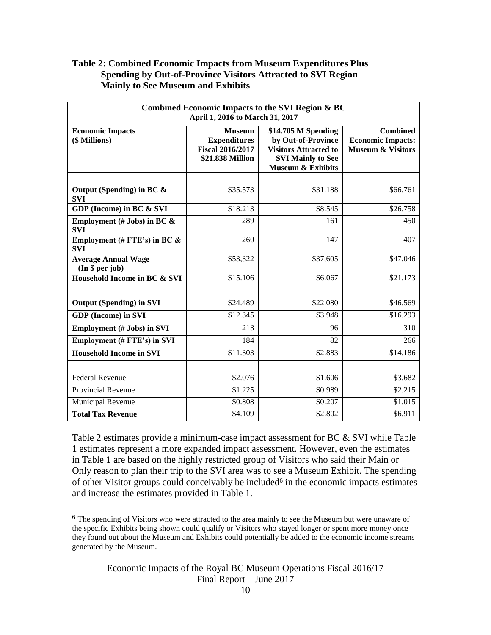## **Table 2: Combined Economic Impacts from Museum Expenditures Plus Spending by Out-of-Province Visitors Attracted to SVI Region Mainly to See Museum and Exhibits**

| Combined Economic Impacts to the SVI Region & BC<br>April 1, 2016 to March 31, 2017 |                                                                                     |                                                                                                                                       |                                                                             |  |  |
|-------------------------------------------------------------------------------------|-------------------------------------------------------------------------------------|---------------------------------------------------------------------------------------------------------------------------------------|-----------------------------------------------------------------------------|--|--|
| <b>Economic Impacts</b><br>(\$ Millions)                                            | <b>Museum</b><br><b>Expenditures</b><br><b>Fiscal 2016/2017</b><br>\$21.838 Million | \$14.705 M Spending<br>by Out-of-Province<br><b>Visitors Attracted to</b><br><b>SVI Mainly to See</b><br><b>Museum &amp; Exhibits</b> | <b>Combined</b><br><b>Economic Impacts:</b><br><b>Museum &amp; Visitors</b> |  |  |
|                                                                                     |                                                                                     |                                                                                                                                       |                                                                             |  |  |
| Output (Spending) in BC $\&$<br><b>SVI</b>                                          | \$35.573                                                                            | \$31.188                                                                                                                              | \$66.761                                                                    |  |  |
| GDP (Income) in BC & SVI                                                            | \$18.213                                                                            | \$8.545                                                                                                                               | \$26.758                                                                    |  |  |
| Employment (# Jobs) in BC $\&$<br><b>SVI</b>                                        | 289                                                                                 | 161                                                                                                                                   | 450                                                                         |  |  |
| Employment (# FTE's) in BC $\&$<br><b>SVI</b>                                       | 260                                                                                 | 147                                                                                                                                   | 407                                                                         |  |  |
| <b>Average Annual Wage</b><br>(In § per job)                                        | \$53,322                                                                            | \$37,605                                                                                                                              | \$47,046                                                                    |  |  |
| Household Income in BC & SVI                                                        | \$15.106                                                                            | \$6.067                                                                                                                               | \$21.173                                                                    |  |  |
| <b>Output (Spending) in SVI</b>                                                     | \$24.489                                                                            | \$22.080                                                                                                                              | \$46.569                                                                    |  |  |
| <b>GDP</b> (Income) in SVI                                                          | \$12.345                                                                            | \$3.948                                                                                                                               | \$16.293                                                                    |  |  |
| <b>Employment (# Jobs) in SVI</b>                                                   | 213                                                                                 | 96                                                                                                                                    | 310                                                                         |  |  |
| <b>Employment (# FTE's) in SVI</b>                                                  | 184                                                                                 | 82                                                                                                                                    | 266                                                                         |  |  |
| <b>Household Income in SVI</b>                                                      | \$11.303                                                                            | \$2.883                                                                                                                               | \$14.186                                                                    |  |  |
|                                                                                     |                                                                                     |                                                                                                                                       |                                                                             |  |  |
| <b>Federal Revenue</b>                                                              | \$2.076                                                                             | \$1.606                                                                                                                               | \$3.682                                                                     |  |  |
| <b>Provincial Revenue</b>                                                           | \$1.225                                                                             | \$0.989                                                                                                                               | \$2.215                                                                     |  |  |
| <b>Municipal Revenue</b>                                                            | \$0.808                                                                             | \$0.207                                                                                                                               | \$1.015                                                                     |  |  |
| <b>Total Tax Revenue</b>                                                            | \$4.109                                                                             | \$2.802                                                                                                                               | \$6.911                                                                     |  |  |

Table 2 estimates provide a minimum-case impact assessment for BC & SVI while Table 1 estimates represent a more expanded impact assessment. However, even the estimates in Table 1 are based on the highly restricted group of Visitors who said their Main or Only reason to plan their trip to the SVI area was to see a Museum Exhibit. The spending of other Visitor groups could conceivably be included<sup> $6$ </sup> in the economic impacts estimates and increase the estimates provided in Table 1.

<sup>6</sup> The spending of Visitors who were attracted to the area mainly to see the Museum but were unaware of the specific Exhibits being shown could qualify or Visitors who stayed longer or spent more money once they found out about the Museum and Exhibits could potentially be added to the economic income streams generated by the Museum.

Economic Impacts of the Royal BC Museum Operations Fiscal 2016/17 Final Report – June 2017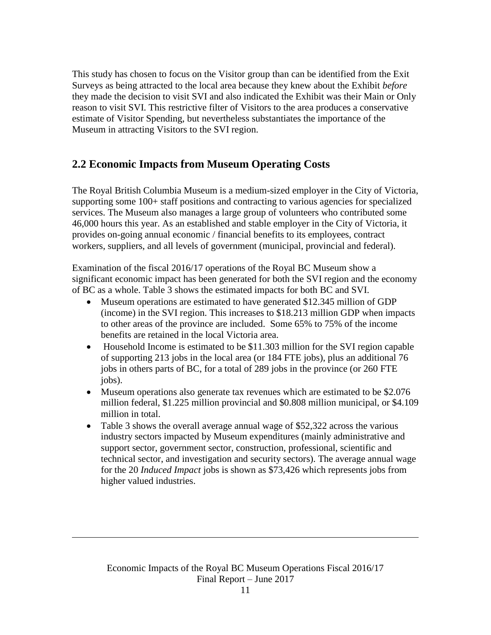This study has chosen to focus on the Visitor group than can be identified from the Exit Surveys as being attracted to the local area because they knew about the Exhibit *before* they made the decision to visit SVI and also indicated the Exhibit was their Main or Only reason to visit SVI. This restrictive filter of Visitors to the area produces a conservative estimate of Visitor Spending, but nevertheless substantiates the importance of the Museum in attracting Visitors to the SVI region.

# **2.2 Economic Impacts from Museum Operating Costs**

The Royal British Columbia Museum is a medium-sized employer in the City of Victoria, supporting some 100+ staff positions and contracting to various agencies for specialized services. The Museum also manages a large group of volunteers who contributed some 46,000 hours this year. As an established and stable employer in the City of Victoria, it provides on-going annual economic / financial benefits to its employees, contract workers, suppliers, and all levels of government (municipal, provincial and federal).

Examination of the fiscal 2016/17 operations of the Royal BC Museum show a significant economic impact has been generated for both the SVI region and the economy of BC as a whole. Table 3 shows the estimated impacts for both BC and SVI.

- Museum operations are estimated to have generated \$12.345 million of GDP (income) in the SVI region. This increases to \$18.213 million GDP when impacts to other areas of the province are included. Some 65% to 75% of the income benefits are retained in the local Victoria area.
- Household Income is estimated to be \$11.303 million for the SVI region capable of supporting 213 jobs in the local area (or 184 FTE jobs), plus an additional 76 jobs in others parts of BC, for a total of 289 jobs in the province (or 260 FTE jobs).
- Museum operations also generate tax revenues which are estimated to be \$2.076 million federal, \$1.225 million provincial and \$0.808 million municipal, or \$4.109 million in total.
- Table 3 shows the overall average annual wage of \$52,322 across the various industry sectors impacted by Museum expenditures (mainly administrative and support sector, government sector, construction, professional, scientific and technical sector, and investigation and security sectors). The average annual wage for the 20 *Induced Impact* jobs is shown as \$73,426 which represents jobs from higher valued industries.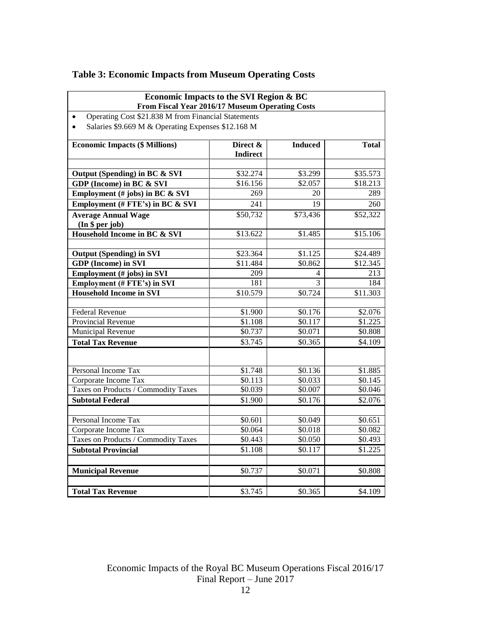| Economic Impacts to the SVI Region & BC<br>From Fiscal Year 2016/17 Museum Operating Costs |                 |                          |              |  |  |  |
|--------------------------------------------------------------------------------------------|-----------------|--------------------------|--------------|--|--|--|
| Operating Cost \$21.838 M from Financial Statements<br>$\bullet$                           |                 |                          |              |  |  |  |
| Salaries \$9.669 M & Operating Expenses \$12.168 M<br>$\bullet$                            |                 |                          |              |  |  |  |
|                                                                                            |                 |                          |              |  |  |  |
| <b>Economic Impacts (\$ Millions)</b>                                                      | Direct &        | <b>Induced</b>           | <b>Total</b> |  |  |  |
|                                                                                            | <b>Indirect</b> |                          |              |  |  |  |
|                                                                                            |                 |                          |              |  |  |  |
| Output (Spending) in BC & SVI                                                              | \$32.274        | \$3.299                  | \$35.573     |  |  |  |
| GDP (Income) in BC & SVI                                                                   | \$16.156        | \$2.057                  | \$18.213     |  |  |  |
| Employment (# jobs) in BC & SVI                                                            | 269             | 20                       | 289          |  |  |  |
| Employment (# FTE's) in BC & SVI                                                           | 241             | 19                       | 260          |  |  |  |
| <b>Average Annual Wage</b>                                                                 | \$50,732        | \$73,436                 | \$52,322     |  |  |  |
| (In § per job)                                                                             |                 |                          |              |  |  |  |
| Household Income in BC & SVI                                                               | \$13.622        | \$1.485                  | \$15.106     |  |  |  |
|                                                                                            |                 |                          |              |  |  |  |
| <b>Output (Spending) in SVI</b>                                                            | \$23.364        | \$1.125                  | \$24.489     |  |  |  |
| <b>GDP</b> (Income) in SVI                                                                 | \$11.484        | \$0.862                  | \$12.345     |  |  |  |
| <b>Employment</b> (# jobs) in SVI                                                          | 209             | $\overline{\mathcal{L}}$ | 213          |  |  |  |
| <b>Employment (# FTE's) in SVI</b>                                                         | 181             | 3                        | 184          |  |  |  |
| <b>Household Income in SVI</b>                                                             | \$10.579        | \$0.724                  | \$11.303     |  |  |  |
| Federal Revenue                                                                            | \$1.900         | \$0.176                  | \$2.076      |  |  |  |
| <b>Provincial Revenue</b>                                                                  | \$1.108         | \$0.117                  | \$1.225      |  |  |  |
| Municipal Revenue                                                                          | \$0.737         | \$0.071                  | \$0.808      |  |  |  |
| <b>Total Tax Revenue</b>                                                                   | \$3.745         | \$0.365                  | \$4.109      |  |  |  |
|                                                                                            |                 |                          |              |  |  |  |
|                                                                                            |                 |                          |              |  |  |  |
| Personal Income Tax                                                                        | \$1.748         | \$0.136                  | \$1.885      |  |  |  |
| Corporate Income Tax                                                                       | \$0.113         | \$0.033                  | \$0.145      |  |  |  |
| Taxes on Products / Commodity Taxes                                                        | \$0.039         | \$0.007                  | \$0.046      |  |  |  |
| <b>Subtotal Federal</b>                                                                    | \$1.900         | \$0.176                  | \$2.076      |  |  |  |
|                                                                                            |                 |                          |              |  |  |  |
| Personal Income Tax                                                                        | \$0.601         | \$0.049                  | \$0.651      |  |  |  |
| Corporate Income Tax                                                                       | \$0.064         | \$0.018                  | \$0.082      |  |  |  |
| Taxes on Products / Commodity Taxes                                                        | \$0.443         | \$0.050                  | \$0.493      |  |  |  |
| <b>Subtotal Provincial</b>                                                                 | \$1.108         | \$0.117                  | \$1.225      |  |  |  |
|                                                                                            |                 |                          |              |  |  |  |
| <b>Municipal Revenue</b>                                                                   | \$0.737         | \$0.071                  | \$0.808      |  |  |  |
|                                                                                            |                 |                          |              |  |  |  |
| <b>Total Tax Revenue</b>                                                                   | \$3.745         | \$0.365                  | \$4.109      |  |  |  |

# **Table 3: Economic Impacts from Museum Operating Costs**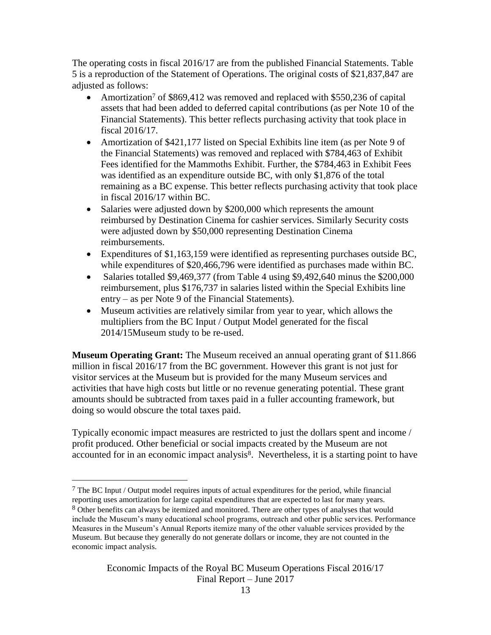The operating costs in fiscal 2016/17 are from the published Financial Statements. Table 5 is a reproduction of the Statement of Operations. The original costs of \$21,837,847 are adjusted as follows:

- Amortization<sup>7</sup> of \$869,412 was removed and replaced with \$550,236 of capital assets that had been added to deferred capital contributions (as per Note 10 of the Financial Statements). This better reflects purchasing activity that took place in fiscal 2016/17.
- Amortization of \$421,177 listed on Special Exhibits line item (as per Note 9 of the Financial Statements) was removed and replaced with \$784,463 of Exhibit Fees identified for the Mammoths Exhibit. Further, the \$784,463 in Exhibit Fees was identified as an expenditure outside BC, with only \$1,876 of the total remaining as a BC expense. This better reflects purchasing activity that took place in fiscal 2016/17 within BC.
- Salaries were adjusted down by \$200,000 which represents the amount reimbursed by Destination Cinema for cashier services. Similarly Security costs were adjusted down by \$50,000 representing Destination Cinema reimbursements.
- Expenditures of \$1,163,159 were identified as representing purchases outside BC, while expenditures of \$20,466,796 were identified as purchases made within BC.
- Salaries totalled  $$9,469,377$  (from Table 4 using  $$9,492,640$  minus the  $$200,000$ reimbursement, plus \$176,737 in salaries listed within the Special Exhibits line entry – as per Note 9 of the Financial Statements).
- Museum activities are relatively similar from year to year, which allows the multipliers from the BC Input / Output Model generated for the fiscal 2014/15Museum study to be re-used.

**Museum Operating Grant:** The Museum received an annual operating grant of \$11.866 million in fiscal 2016/17 from the BC government. However this grant is not just for visitor services at the Museum but is provided for the many Museum services and activities that have high costs but little or no revenue generating potential. These grant amounts should be subtracted from taxes paid in a fuller accounting framework, but doing so would obscure the total taxes paid.

Typically economic impact measures are restricted to just the dollars spent and income / profit produced. Other beneficial or social impacts created by the Museum are not accounted for in an economic impact analysis<sup>8</sup>. Nevertheless, it is a starting point to have

 $7$  The BC Input / Output model requires inputs of actual expenditures for the period, while financial reporting uses amortization for large capital expenditures that are expected to last for many years. <sup>8</sup> Other benefits can always be itemized and monitored. There are other types of analyses that would include the Museum's many educational school programs, outreach and other public services. Performance Measures in the Museum's Annual Reports itemize many of the other valuable services provided by the Museum. But because they generally do not generate dollars or income, they are not counted in the economic impact analysis.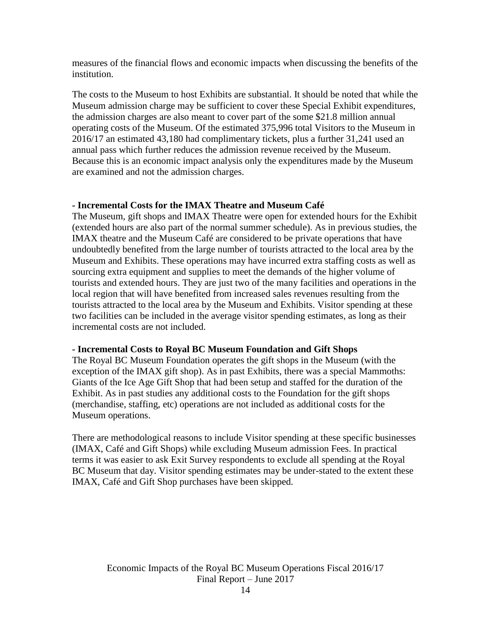measures of the financial flows and economic impacts when discussing the benefits of the institution.

The costs to the Museum to host Exhibits are substantial. It should be noted that while the Museum admission charge may be sufficient to cover these Special Exhibit expenditures, the admission charges are also meant to cover part of the some \$21.8 million annual operating costs of the Museum. Of the estimated 375,996 total Visitors to the Museum in 2016/17 an estimated 43,180 had complimentary tickets, plus a further 31,241 used an annual pass which further reduces the admission revenue received by the Museum. Because this is an economic impact analysis only the expenditures made by the Museum are examined and not the admission charges.

## **- Incremental Costs for the IMAX Theatre and Museum Café**

The Museum, gift shops and IMAX Theatre were open for extended hours for the Exhibit (extended hours are also part of the normal summer schedule). As in previous studies, the IMAX theatre and the Museum Café are considered to be private operations that have undoubtedly benefited from the large number of tourists attracted to the local area by the Museum and Exhibits. These operations may have incurred extra staffing costs as well as sourcing extra equipment and supplies to meet the demands of the higher volume of tourists and extended hours. They are just two of the many facilities and operations in the local region that will have benefited from increased sales revenues resulting from the tourists attracted to the local area by the Museum and Exhibits. Visitor spending at these two facilities can be included in the average visitor spending estimates, as long as their incremental costs are not included.

## **- Incremental Costs to Royal BC Museum Foundation and Gift Shops**

The Royal BC Museum Foundation operates the gift shops in the Museum (with the exception of the IMAX gift shop). As in past Exhibits, there was a special Mammoths: Giants of the Ice Age Gift Shop that had been setup and staffed for the duration of the Exhibit. As in past studies any additional costs to the Foundation for the gift shops (merchandise, staffing, etc) operations are not included as additional costs for the Museum operations.

There are methodological reasons to include Visitor spending at these specific businesses (IMAX, Café and Gift Shops) while excluding Museum admission Fees. In practical terms it was easier to ask Exit Survey respondents to exclude all spending at the Royal BC Museum that day. Visitor spending estimates may be under-stated to the extent these IMAX, Café and Gift Shop purchases have been skipped.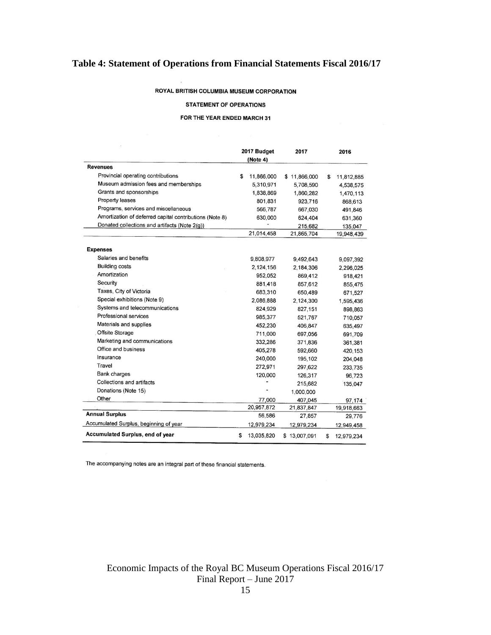# **Table 4: Statement of Operations from Financial Statements Fiscal 2016/17**

#### ROYAL BRITISH COLUMBIA MUSEUM CORPORATION

#### **STATEMENT OF OPERATIONS**

#### FOR THE YEAR ENDED MARCH 31

|                                                         |    | 2017 Budget | 2017         | 2016             |
|---------------------------------------------------------|----|-------------|--------------|------------------|
|                                                         |    | (Note 4)    |              |                  |
| <b>Revenues</b>                                         |    |             |              |                  |
| Provincial operating contributions                      | \$ | 11,866,000  | \$11,866,000 | \$<br>11,812,885 |
| Museum admission fees and memberships                   |    | 5,310,971   | 5,708,590    | 4,538,575        |
| Grants and sponsorships                                 |    | 1,838,869   | 1,860,282    | 1,470,113        |
| Property leases                                         |    | 801,831     | 923,716      | 868,613          |
| Programs, services and miscellaneous                    |    | 566,787     | 667,030      | 491,846          |
| Amortization of deferred capital contributions (Note 8) |    | 630,000     | 624,404      | 631,360          |
| Donated collections and artifacts (Note 2(g))           |    |             | 215,682      | 135,047          |
|                                                         |    | 21,014,458  | 21,865,704   | 19,948,439       |
| <b>Expenses</b>                                         |    |             |              |                  |
| Salaries and benefits                                   |    | 9,808,977   | 9,492,643    | 9,097,392        |
| <b>Building costs</b>                                   |    | 2,124,156   | 2,184,306    | 2,296,025        |
| Amortization                                            |    | 952,052     | 869,412      | 918,421          |
| Security                                                |    | 881,418     | 857,612      | 855,475          |
| Taxes, City of Victoria                                 |    | 683,310     | 650,489      | 671,527          |
| Special exhibitions (Note 9)                            |    | 2,086,888   | 2,124,300    | 1,595,436        |
| Systems and telecommunications                          |    | 824,929     | 827,151      | 898,863          |
| Professional services                                   |    | 985,377     | 521,767      | 710,057          |
| Materials and supplies                                  |    | 452,230     | 406,847      | 635,497          |
| Offsite Storage                                         |    | 711,000     | 697,056      | 691,709          |
| Marketing and communications                            |    | 332,286     | 371,836      | 361,381          |
| Office and business                                     |    | 405,278     | 592,660      | 420,153          |
| Insurance                                               |    | 240,000     | 195,102      | 204,048          |
| Travel                                                  |    | 272,971     | 297,622      | 233,735          |
| <b>Bank charges</b>                                     |    | 120,000     | 126,317      | 96,723           |
| Collections and artifacts                               |    |             | 215,682      | 135,047          |
| Donations (Note 15)                                     |    |             | 1,000,000    |                  |
| Other                                                   |    | 77,000      | 407,045      | 97,174           |
|                                                         |    | 20,957,872  | 21,837,847   | 19,918,663       |
| <b>Annual Surplus</b>                                   |    | 56,586      | 27,857       | 29,776           |
| Accumulated Surplus, beginning of year                  |    | 12,979,234  | 12,979,234   | 12,949,458       |
| <b>Accumulated Surplus, end of year</b>                 | S  | 13,035,820  | \$13,007,091 | \$<br>12,979.234 |

The accompanying notes are an integral part of these financial statements.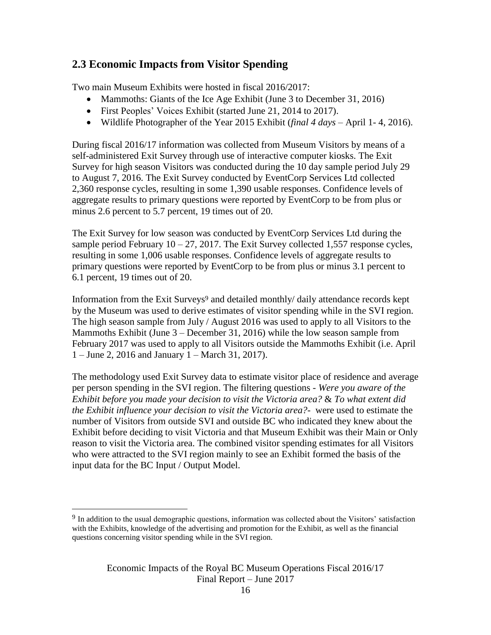# **2.3 Economic Impacts from Visitor Spending**

Two main Museum Exhibits were hosted in fiscal 2016/2017:

- Mammoths: Giants of the Ice Age Exhibit (June 3 to December 31, 2016)
- First Peoples' Voices Exhibit (started June 21, 2014 to 2017).
- Wildlife Photographer of the Year 2015 Exhibit (*final 4 days* April 1- 4, 2016).

During fiscal 2016/17 information was collected from Museum Visitors by means of a self-administered Exit Survey through use of interactive computer kiosks. The Exit Survey for high season Visitors was conducted during the 10 day sample period July 29 to August 7, 2016. The Exit Survey conducted by EventCorp Services Ltd collected 2,360 response cycles, resulting in some 1,390 usable responses. Confidence levels of aggregate results to primary questions were reported by EventCorp to be from plus or minus 2.6 percent to 5.7 percent, 19 times out of 20.

The Exit Survey for low season was conducted by EventCorp Services Ltd during the sample period February  $10 - 27$ , 2017. The Exit Survey collected 1,557 response cycles, resulting in some 1,006 usable responses. Confidence levels of aggregate results to primary questions were reported by EventCorp to be from plus or minus 3.1 percent to 6.1 percent, 19 times out of 20.

Information from the Exit Surveys<sup>9</sup> and detailed monthly/ daily attendance records kept by the Museum was used to derive estimates of visitor spending while in the SVI region. The high season sample from July / August 2016 was used to apply to all Visitors to the Mammoths Exhibit (June 3 – December 31, 2016) while the low season sample from February 2017 was used to apply to all Visitors outside the Mammoths Exhibit (i.e. April 1 – June 2, 2016 and January 1 – March 31, 2017).

The methodology used Exit Survey data to estimate visitor place of residence and average per person spending in the SVI region. The filtering questions - *Were you aware of the Exhibit before you made your decision to visit the Victoria area?* & *To what extent did the Exhibit influence your decision to visit the Victoria area?-* were used to estimate the number of Visitors from outside SVI and outside BC who indicated they knew about the Exhibit before deciding to visit Victoria and that Museum Exhibit was their Main or Only reason to visit the Victoria area. The combined visitor spending estimates for all Visitors who were attracted to the SVI region mainly to see an Exhibit formed the basis of the input data for the BC Input / Output Model.

<sup>9</sup> In addition to the usual demographic questions, information was collected about the Visitors' satisfaction with the Exhibits, knowledge of the advertising and promotion for the Exhibit, as well as the financial questions concerning visitor spending while in the SVI region.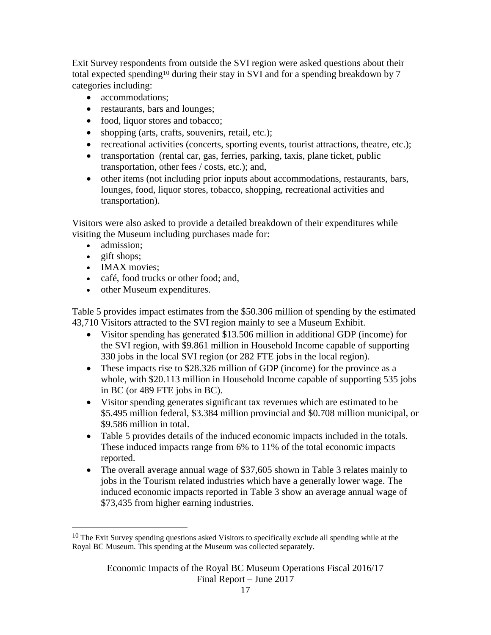Exit Survey respondents from outside the SVI region were asked questions about their total expected spending<sup>10</sup> during their stay in SVI and for a spending breakdown by 7 categories including:

- accommodations;
- restaurants, bars and lounges;
- food, liquor stores and tobacco;
- shopping (arts, crafts, souvenirs, retail, etc.);
- recreational activities (concerts, sporting events, tourist attractions, theatre, etc.);
- transportation (rental car, gas, ferries, parking, taxis, plane ticket, public transportation, other fees / costs, etc.); and,
- other items (not including prior inputs about accommodations, restaurants, bars, lounges, food, liquor stores, tobacco, shopping, recreational activities and transportation).

Visitors were also asked to provide a detailed breakdown of their expenditures while visiting the Museum including purchases made for:

- admission;
- $\bullet$  gift shops;

 $\overline{a}$ 

- IMAX movies;
- café, food trucks or other food; and,
- other Museum expenditures.

Table 5 provides impact estimates from the \$50.306 million of spending by the estimated 43,710 Visitors attracted to the SVI region mainly to see a Museum Exhibit.

- Visitor spending has generated \$13.506 million in additional GDP (income) for the SVI region, with \$9.861 million in Household Income capable of supporting 330 jobs in the local SVI region (or 282 FTE jobs in the local region).
- These impacts rise to \$28.326 million of GDP (income) for the province as a whole, with \$20.113 million in Household Income capable of supporting 535 jobs in BC (or 489 FTE jobs in BC).
- Visitor spending generates significant tax revenues which are estimated to be \$5.495 million federal, \$3.384 million provincial and \$0.708 million municipal, or \$9.586 million in total.
- Table 5 provides details of the induced economic impacts included in the totals. These induced impacts range from 6% to 11% of the total economic impacts reported.
- The overall average annual wage of \$37,605 shown in Table 3 relates mainly to jobs in the Tourism related industries which have a generally lower wage. The induced economic impacts reported in Table 3 show an average annual wage of \$73,435 from higher earning industries.

<sup>&</sup>lt;sup>10</sup> The Exit Survey spending questions asked Visitors to specifically exclude all spending while at the Royal BC Museum. This spending at the Museum was collected separately.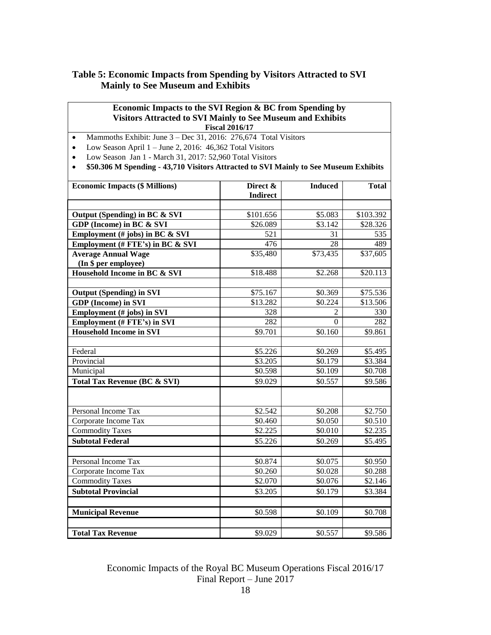## **Table 5: Economic Impacts from Spending by Visitors Attracted to SVI Mainly to See Museum and Exhibits**

### **Economic Impacts to the SVI Region & BC from Spending by Visitors Attracted to SVI Mainly to See Museum and Exhibits Fiscal 2016/17**

- Mammoths Exhibit: June  $3 Dec 31$ , 2016: 276,674 Total Visitors
- Low Season April  $1 -$  June 2, 2016: 46,362 Total Visitors
- Low Season Jan 1 March 31, 2017: 52,960 Total Visitors
- **\$50.306 M Spending - 43,710 Visitors Attracted to SVI Mainly to See Museum Exhibits**

| <b>Economic Impacts (\$ Millions)</b>              | Direct &<br><b>Indirect</b> | <b>Induced</b> | <b>Total</b> |
|----------------------------------------------------|-----------------------------|----------------|--------------|
| Output (Spending) in BC & SVI                      | \$101.656                   | \$5.083        | \$103.392    |
| GDP (Income) in BC & SVI                           | \$26.089                    | \$3.142        | \$28.326     |
| Employment $(\#$ jobs) in BC & SVI                 | 521                         | 31             | 535          |
| Employment (# FTE's) in BC & SVI                   | 476                         | 28             | 489          |
| <b>Average Annual Wage</b><br>(In \$ per employee) | \$35,480                    | \$73,435       | \$37,605     |
| Household Income in BC & SVI                       | \$18.488                    | \$2.268        | \$20.113     |
|                                                    |                             |                |              |
| <b>Output (Spending) in SVI</b>                    | \$75.167                    | \$0.369        | \$75.536     |
| <b>GDP</b> (Income) in SVI                         | \$13.282                    | \$0.224        | \$13.506     |
| Employment (# jobs) in SVI                         | 328                         | $\overline{2}$ | 330          |
| <b>Employment (# FTE's) in SVI</b>                 | 282                         | $\Omega$       | 282          |
| <b>Household Income in SVI</b>                     | \$9.701                     | \$0.160        | \$9.861      |
|                                                    |                             |                |              |
| Federal                                            | \$5.226                     | \$0.269        | \$5.495      |
| Provincial                                         | \$3.205                     | \$0.179        | \$3.384      |
| Municipal                                          | \$0.598                     | \$0.109        | \$0.708      |
| <b>Total Tax Revenue (BC &amp; SVI)</b>            | \$9.029                     | \$0.557        | \$9.586      |
|                                                    |                             |                |              |
| Personal Income Tax                                | \$2.542                     | \$0.208        | \$2.750      |
| Corporate Income Tax                               | \$0.460                     | \$0.050        | \$0.510      |
| <b>Commodity Taxes</b>                             | \$2.225                     | \$0.010        | \$2.235      |
| <b>Subtotal Federal</b>                            | \$5.226                     | \$0.269        | \$5.495      |
|                                                    |                             |                |              |
| Personal Income Tax                                | \$0.874                     | \$0.075        | \$0.950      |
| Corporate Income Tax                               | \$0.260                     | \$0.028        | \$0.288      |
| <b>Commodity Taxes</b>                             | \$2.070                     | \$0.076        | \$2.146      |
| <b>Subtotal Provincial</b>                         | \$3.205                     | \$0.179        | \$3.384      |
|                                                    |                             |                |              |
| <b>Municipal Revenue</b>                           | \$0.598                     | \$0.109        | \$0.708      |
| <b>Total Tax Revenue</b>                           | \$9.029                     | \$0.557        | \$9.586      |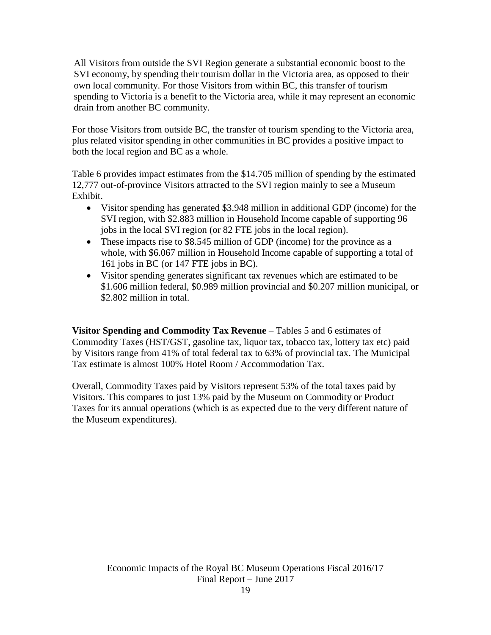All Visitors from outside the SVI Region generate a substantial economic boost to the SVI economy, by spending their tourism dollar in the Victoria area, as opposed to their own local community. For those Visitors from within BC, this transfer of tourism spending to Victoria is a benefit to the Victoria area, while it may represent an economic drain from another BC community.

For those Visitors from outside BC, the transfer of tourism spending to the Victoria area, plus related visitor spending in other communities in BC provides a positive impact to both the local region and BC as a whole.

Table 6 provides impact estimates from the \$14.705 million of spending by the estimated 12,777 out-of-province Visitors attracted to the SVI region mainly to see a Museum Exhibit.

- Visitor spending has generated \$3.948 million in additional GDP (income) for the SVI region, with \$2.883 million in Household Income capable of supporting 96 jobs in the local SVI region (or 82 FTE jobs in the local region).
- These impacts rise to \$8.545 million of GDP (income) for the province as a whole, with \$6.067 million in Household Income capable of supporting a total of 161 jobs in BC (or 147 FTE jobs in BC).
- Visitor spending generates significant tax revenues which are estimated to be \$1.606 million federal, \$0.989 million provincial and \$0.207 million municipal, or \$2.802 million in total.

**Visitor Spending and Commodity Tax Revenue** – Tables 5 and 6 estimates of Commodity Taxes (HST/GST, gasoline tax, liquor tax, tobacco tax, lottery tax etc) paid by Visitors range from 41% of total federal tax to 63% of provincial tax. The Municipal Tax estimate is almost 100% Hotel Room / Accommodation Tax.

Overall, Commodity Taxes paid by Visitors represent 53% of the total taxes paid by Visitors. This compares to just 13% paid by the Museum on Commodity or Product Taxes for its annual operations (which is as expected due to the very different nature of the Museum expenditures).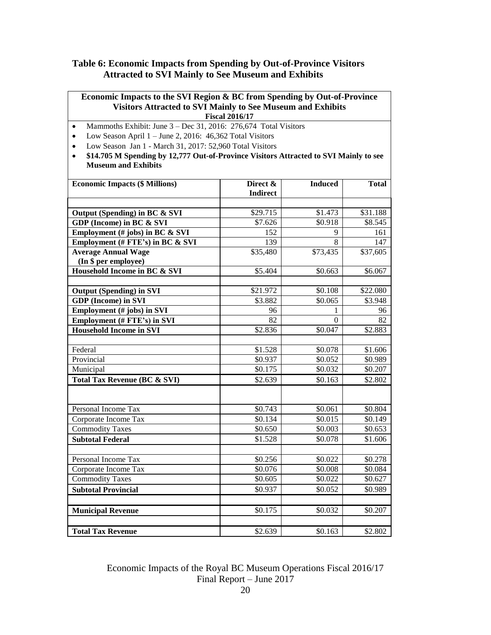## **Table 6: Economic Impacts from Spending by Out-of-Province Visitors Attracted to SVI Mainly to See Museum and Exhibits**

| Economic Impacts to the SVI Region & BC from Spending by Out-of-Province<br><b>Visitors Attracted to SVI Mainly to See Museum and Exhibits</b><br><b>Fiscal 2016/17</b> |                             |                |              |  |  |
|-------------------------------------------------------------------------------------------------------------------------------------------------------------------------|-----------------------------|----------------|--------------|--|--|
| Mammoths Exhibit: June 3 - Dec 31, 2016: 276,674 Total Visitors<br>$\bullet$                                                                                            |                             |                |              |  |  |
| Low Season April $1 -$ June 2, 2016: 46,362 Total Visitors<br>$\bullet$                                                                                                 |                             |                |              |  |  |
| Low Season Jan 1 - March 31, 2017: 52,960 Total Visitors<br>$\bullet$                                                                                                   |                             |                |              |  |  |
| \$14.705 M Spending by 12,777 Out-of-Province Visitors Attracted to SVI Mainly to see<br>$\bullet$<br><b>Museum and Exhibits</b>                                        |                             |                |              |  |  |
| <b>Economic Impacts (\$ Millions)</b>                                                                                                                                   | Direct &<br><b>Indirect</b> | <b>Induced</b> | <b>Total</b> |  |  |
|                                                                                                                                                                         | \$29.715                    | \$1.473        | \$31.188     |  |  |
| Output (Spending) in BC & SVI<br>GDP (Income) in BC & SVI                                                                                                               | \$7.626                     | \$0.918        | \$8.545      |  |  |
| Employment (# jobs) in BC & SVI                                                                                                                                         | 152                         | 9              | 161          |  |  |
| Employment (# FTE's) in BC & SVI                                                                                                                                        | 139                         | 8              | 147          |  |  |
| <b>Average Annual Wage</b>                                                                                                                                              | \$35,480                    | \$73,435       | \$37,605     |  |  |
| (In \$ per employee)                                                                                                                                                    |                             |                |              |  |  |
| Household Income in BC & SVI                                                                                                                                            | \$5.404                     | \$0.663        | \$6.067      |  |  |
|                                                                                                                                                                         |                             |                |              |  |  |
| <b>Output (Spending)</b> in SVI                                                                                                                                         | \$21.972                    | \$0.108        | \$22.080     |  |  |
| <b>GDP</b> (Income) in SVI                                                                                                                                              | \$3.882                     | \$0.065        | \$3.948      |  |  |
| Employment (# jobs) in SVI                                                                                                                                              | 96                          | 1              | 96           |  |  |
| <b>Employment (# FTE's) in SVI</b>                                                                                                                                      | 82                          | 0              | 82           |  |  |
| <b>Household Income in SVI</b>                                                                                                                                          | \$2.836                     | \$0.047        | \$2.883      |  |  |
|                                                                                                                                                                         |                             |                |              |  |  |
| Federal                                                                                                                                                                 | \$1.528                     | \$0.078        | \$1.606      |  |  |
| Provincial                                                                                                                                                              | \$0.937                     | \$0.052        | \$0.989      |  |  |
| Municipal                                                                                                                                                               | \$0.175                     | \$0.032        | \$0.207      |  |  |
| <b>Total Tax Revenue (BC &amp; SVI)</b>                                                                                                                                 | \$2.639                     | \$0.163        | \$2.802      |  |  |
|                                                                                                                                                                         |                             |                |              |  |  |
| Personal Income Tax                                                                                                                                                     | \$0.743                     | \$0.061        | \$0.804      |  |  |
| Corporate Income Tax                                                                                                                                                    | \$0.134                     | \$0.015        | \$0.149      |  |  |
| <b>Commodity Taxes</b>                                                                                                                                                  | \$0.650                     | \$0.003        | \$0.653      |  |  |
| <b>Subtotal Federal</b>                                                                                                                                                 | \$1.528                     | \$0.078        | \$1.606      |  |  |
|                                                                                                                                                                         |                             |                |              |  |  |
| Personal Income Tax                                                                                                                                                     | \$0.256                     | \$0.022        | \$0.278      |  |  |
| Corporate Income Tax                                                                                                                                                    | \$0.076                     | \$0.008        | \$0.084      |  |  |
| <b>Commodity Taxes</b>                                                                                                                                                  | \$0.605                     | \$0.022        | \$0.627      |  |  |
| <b>Subtotal Provincial</b>                                                                                                                                              | \$0.937                     | \$0.052        | \$0.989      |  |  |
| <b>Municipal Revenue</b>                                                                                                                                                | \$0.175                     | \$0.032        | \$0.207      |  |  |
| <b>Total Tax Revenue</b>                                                                                                                                                | \$2.639                     | \$0.163        | \$2.802      |  |  |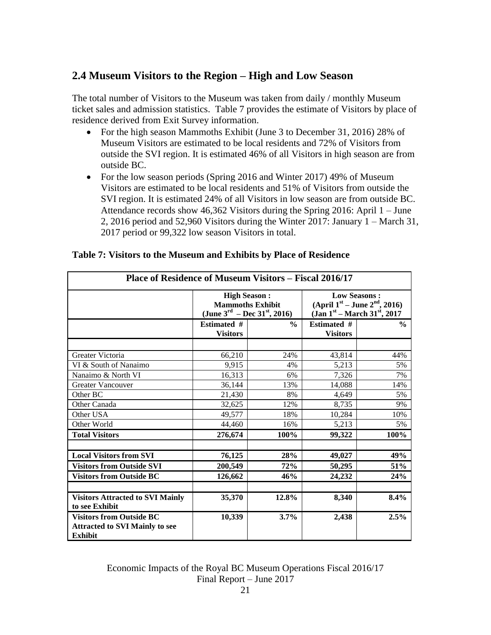# **2.4 Museum Visitors to the Region – High and Low Season**

The total number of Visitors to the Museum was taken from daily / monthly Museum ticket sales and admission statistics. Table 7 provides the estimate of Visitors by place of residence derived from Exit Survey information.

- For the high season Mammoths Exhibit (June 3 to December 31, 2016) 28% of Museum Visitors are estimated to be local residents and 72% of Visitors from outside the SVI region. It is estimated 46% of all Visitors in high season are from outside BC.
- For the low season periods (Spring 2016 and Winter 2017) 49% of Museum Visitors are estimated to be local residents and 51% of Visitors from outside the SVI region. It is estimated 24% of all Visitors in low season are from outside BC. Attendance records show 46,362 Visitors during the Spring 2016: April 1 – June 2, 2016 period and 52,960 Visitors during the Winter 2017: January 1 – March 31, 2017 period or 99,322 low season Visitors in total.

| Place of Residence of Museum Visitors – Fiscal 2016/17                                     |                                                                                                        |               |                                                                                                                  |               |  |
|--------------------------------------------------------------------------------------------|--------------------------------------------------------------------------------------------------------|---------------|------------------------------------------------------------------------------------------------------------------|---------------|--|
|                                                                                            | <b>High Season:</b><br><b>Mammoths Exhibit</b><br>(June 3 <sup>rd</sup> – Dec 31 <sup>st</sup> , 2016) |               | <b>Low Seasons:</b><br>(April $1^{st}$ – June $2^{nd}$ , 2016)<br>(Jan $1^{st}$ – March 31 <sup>st</sup> , 2017) |               |  |
|                                                                                            | <b>Estimated #</b><br><b>Visitors</b>                                                                  | $\frac{0}{0}$ | <b>Estimated #</b><br><b>Visitors</b>                                                                            | $\frac{0}{0}$ |  |
| Greater Victoria                                                                           | 66,210                                                                                                 | 24%           | 43,814                                                                                                           | 44%           |  |
| VI & South of Nanaimo<br>Nanaimo & North VI                                                | 9,915<br>16,313                                                                                        | 4%<br>6%      | 5,213<br>7,326                                                                                                   | 5%<br>7%      |  |
| <b>Greater Vancouver</b><br>Other BC                                                       | 36,144<br>21.430                                                                                       | 13%<br>8%     | 14,088<br>4,649                                                                                                  | 14%<br>5%     |  |
| Other Canada                                                                               | 32,625                                                                                                 | 12%           | 8,735                                                                                                            | 9%            |  |
| Other USA<br>Other World                                                                   | 49,577<br>44,460                                                                                       | 18%<br>16%    | 10,284<br>5,213                                                                                                  | 10%<br>5%     |  |
| <b>Total Visitors</b>                                                                      | 276,674                                                                                                | 100%          | 99,322                                                                                                           | 100%          |  |
| <b>Local Visitors from SVI</b>                                                             | 76,125                                                                                                 | 28%           | 49,027                                                                                                           | 49%           |  |
| <b>Visitors from Outside SVI</b><br><b>Visitors from Outside BC</b>                        | 200,549<br>126,662                                                                                     | 72%<br>46%    | 50,295<br>24,232                                                                                                 | 51%<br>24%    |  |
|                                                                                            |                                                                                                        |               |                                                                                                                  |               |  |
| <b>Visitors Attracted to SVI Mainly</b><br>to see Exhibit                                  | 35,370                                                                                                 | 12.8%         | 8,340                                                                                                            | 8.4%          |  |
| <b>Visitors from Outside BC</b><br><b>Attracted to SVI Mainly to see</b><br><b>Exhibit</b> | 10,339                                                                                                 | 3.7%          | 2,438                                                                                                            | 2.5%          |  |

## **Table 7: Visitors to the Museum and Exhibits by Place of Residence**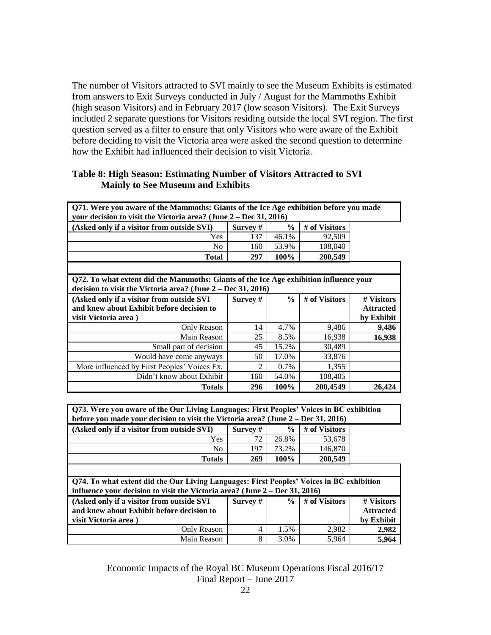The number of Visitors attracted to SVI mainly to see the Museum Exhibits is estimated from answers to Exit Surveys conducted in July / August for the Mammoths Exhibit (high season Visitors) and in February 2017 (low season Visitors). The Exit Surveys included 2 separate questions for Visitors residing outside the local SVI region. The first question served as a filter to ensure that only Visitors who were aware of the Exhibit before deciding to visit the Victoria area were asked the second question to determine how the Exhibit had influenced their decision to visit Victoria.

| Q71. Were you aware of the Mammoths: Giants of the Ice Age exhibition before you made<br>your decision to visit the Victoria area? (June $2 - Dec 31, 2016$ ) |            |               |               |                  |  |  |
|---------------------------------------------------------------------------------------------------------------------------------------------------------------|------------|---------------|---------------|------------------|--|--|
| (Asked only if a visitor from outside SVI)                                                                                                                    | Survey #   | $\frac{6}{9}$ | # of Visitors |                  |  |  |
| Yes                                                                                                                                                           | 137        | 46.1%         | 92,509        |                  |  |  |
| N <sub>0</sub>                                                                                                                                                | 160        | 53.9%         | 108,040       |                  |  |  |
| <b>Total</b>                                                                                                                                                  | 297        | 100%          | 200,549       |                  |  |  |
| Q72. To what extent did the Mammoths: Giants of the Ice Age exhibition influence your<br>decision to visit the Victoria area? (June 2 – Dec 31, 2016)         |            |               |               |                  |  |  |
| (Asked only if a visitor from outside SVI                                                                                                                     | Survey $#$ | $\frac{6}{9}$ | # of Visitors |                  |  |  |
|                                                                                                                                                               |            |               |               | # Visitors       |  |  |
| and knew about Exhibit before decision to                                                                                                                     |            |               |               | <b>Attracted</b> |  |  |
| visit Victoria area)                                                                                                                                          |            |               |               | by Exhibit       |  |  |
| Only Reason                                                                                                                                                   | 14         | 4.7%          | 9,486         | 9,486            |  |  |
| Main Reason                                                                                                                                                   | 25         | 8.5%          | 16,938        | 16,938           |  |  |
| Small part of decision                                                                                                                                        | 45         | 15.2%         | 30,489        |                  |  |  |
| Would have come anyways                                                                                                                                       | 50         | 17.0%         | 33,876        |                  |  |  |
| More influenced by First Peoples' Voices Ex.                                                                                                                  | 2          | 0.7%          | 1,355         |                  |  |  |
| Didn't know about Exhibit                                                                                                                                     | 160        | 54.0%         | 108,405       |                  |  |  |

## **Table 8: High Season: Estimating Number of Visitors Attracted to SVI Mainly to See Museum and Exhibits**

| Q73. Were you aware of the Our Living Languages: First Peoples' Voices in BC exhibition<br>before you made your decision to visit the Victoria area? (June 2 - Dec 31, 2016) |            |               |               |                  |  |
|------------------------------------------------------------------------------------------------------------------------------------------------------------------------------|------------|---------------|---------------|------------------|--|
| (Asked only if a visitor from outside SVI)                                                                                                                                   | Survey $#$ | $\frac{0}{0}$ | # of Visitors |                  |  |
| Yes                                                                                                                                                                          | 72         | 26.8%         | 53,678        |                  |  |
| N <sub>0</sub>                                                                                                                                                               | 197        | 73.2%         | 146,870       |                  |  |
| <b>Totals</b>                                                                                                                                                                | 269        | 100%          | 200,549       |                  |  |
|                                                                                                                                                                              |            |               |               |                  |  |
| Q74. To what extent did the Our Living Languages: First Peoples' Voices in BC exhibition<br>influence your decision to visit the Victoria area? (June $2 - Dec 31, 2016$ )   |            |               |               |                  |  |
|                                                                                                                                                                              |            |               |               |                  |  |
| (Asked only if a visitor from outside SVI)                                                                                                                                   | Survey #   | $\frac{0}{0}$ | # of Visitors | # Visitors       |  |
| and knew about Exhibit before decision to                                                                                                                                    |            |               |               | <b>Attracted</b> |  |
| visit Victoria area)                                                                                                                                                         |            |               |               | by Exhibit       |  |
| Only Reason                                                                                                                                                                  | 4          | 1.5%          | 2,982         | 2,982            |  |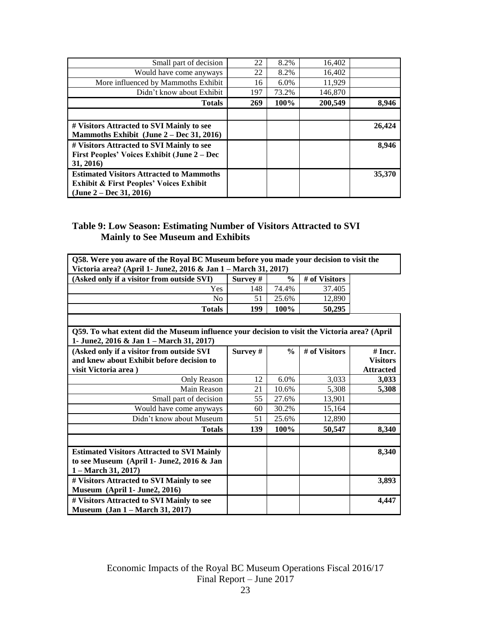| Small part of decision                                                                                                             | 22  | 8.2%    | 16,402  |        |
|------------------------------------------------------------------------------------------------------------------------------------|-----|---------|---------|--------|
| Would have come anyways                                                                                                            | 22  | 8.2%    | 16,402  |        |
| More influenced by Mammoths Exhibit                                                                                                | 16  | $6.0\%$ | 11.929  |        |
| Didn't know about Exhibit                                                                                                          | 197 | 73.2%   | 146,870 |        |
| <b>Totals</b>                                                                                                                      | 269 | 100%    | 200,549 | 8,946  |
|                                                                                                                                    |     |         |         |        |
| # Visitors Attracted to SVI Mainly to see<br>Mammoths Exhibit (June 2 – Dec 31, 2016)                                              |     |         |         | 26,424 |
| # Visitors Attracted to SVI Mainly to see<br>First Peoples' Voices Exhibit (June 2 – Dec<br>31, 2016)                              |     |         |         | 8.946  |
| <b>Estimated Visitors Attracted to Mammoths</b><br><b>Exhibit &amp; First Peoples' Voices Exhibit</b><br>$(June 2 - Dec 31, 2016)$ |     |         |         | 35,370 |

# **Table 9: Low Season: Estimating Number of Visitors Attracted to SVI Mainly to See Museum and Exhibits**

| Q58. Were you aware of the Royal BC Museum before you made your decision to visit the         |          |               |               |                  |
|-----------------------------------------------------------------------------------------------|----------|---------------|---------------|------------------|
| Victoria area? (April 1- June2, 2016 & Jan 1 - March 31, 2017)                                |          |               |               |                  |
| (Asked only if a visitor from outside SVI)                                                    | Survey # | $\frac{0}{0}$ | # of Visitors |                  |
| Yes                                                                                           | 148      | 74.4%         | 37.405        |                  |
| No                                                                                            | 51       | 25.6%         | 12,890        |                  |
| <b>Totals</b>                                                                                 | 199      | 100%          | 50,295        |                  |
|                                                                                               |          |               |               |                  |
| Q59. To what extent did the Museum influence your decision to visit the Victoria area? (April |          |               |               |                  |
| 1- June2, 2016 & Jan 1 - March 31, 2017)                                                      |          |               |               |                  |
| (Asked only if a visitor from outside SVI                                                     | Survey # | $\frac{0}{0}$ | # of Visitors | $#$ Incr.        |
| and knew about Exhibit before decision to                                                     |          |               |               | <b>Visitors</b>  |
| visit Victoria area)                                                                          |          |               |               | <b>Attracted</b> |
| Only Reason                                                                                   | 12       | 6.0%          | 3,033         | 3,033            |
| Main Reason                                                                                   | 21       | 10.6%         | 5,308         | 5,308            |
| Small part of decision                                                                        | 55       | 27.6%         | 13,901        |                  |
| Would have come anyways                                                                       | 60       | 30.2%         | 15,164        |                  |
| Didn't know about Museum                                                                      | 51       | 25.6%         | 12,890        |                  |
| <b>Totals</b>                                                                                 | 139      | 100%          | 50,547        | 8,340            |
|                                                                                               |          |               |               |                  |
| <b>Estimated Visitors Attracted to SVI Mainly</b>                                             |          |               |               | 8,340            |
| to see Museum (April 1- June2, 2016 & Jan                                                     |          |               |               |                  |
| $1 - March 31, 2017$                                                                          |          |               |               |                  |
| # Visitors Attracted to SVI Mainly to see                                                     |          |               |               | 3,893            |
| Museum (April 1- June2, 2016)                                                                 |          |               |               |                  |
| # Visitors Attracted to SVI Mainly to see                                                     |          |               |               | 4,447            |
| <b>Museum</b> (Jan 1 – March 31, 2017)                                                        |          |               |               |                  |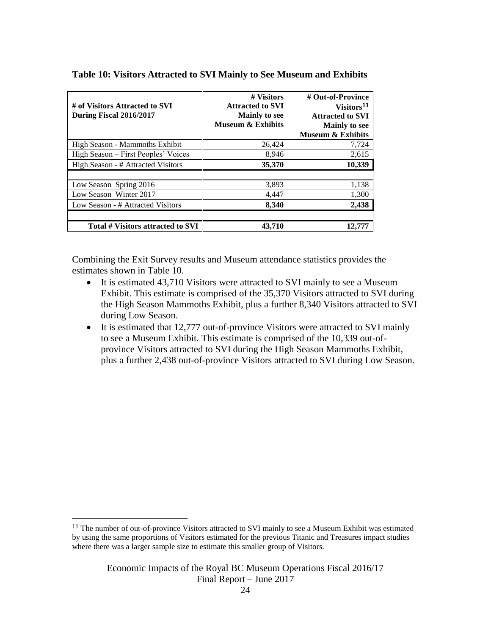| # of Visitors Attracted to SVI<br>During Fiscal 2016/2017 | # Visitors<br><b>Attracted to SVI</b><br><b>Mainly to see</b><br><b>Museum &amp; Exhibits</b> | # Out-of-Province<br>Visitors <sup>11</sup><br><b>Attracted to SVI</b><br><b>Mainly to see</b><br><b>Museum &amp; Exhibits</b> |
|-----------------------------------------------------------|-----------------------------------------------------------------------------------------------|--------------------------------------------------------------------------------------------------------------------------------|
| High Season - Mammoths Exhibit                            | 26,424                                                                                        | 7,724                                                                                                                          |
| High Season – First Peoples' Voices                       | 8,946                                                                                         | 2,615                                                                                                                          |
| High Season - # Attracted Visitors                        | 35,370                                                                                        | 10,339                                                                                                                         |
|                                                           |                                                                                               |                                                                                                                                |
| Low Season Spring 2016                                    | 3,893                                                                                         | 1,138                                                                                                                          |
| Low Season Winter 2017                                    | 4,447                                                                                         | 1,300                                                                                                                          |
| Low Season - # Attracted Visitors                         | 8,340                                                                                         | 2,438                                                                                                                          |
| Total # Visitors attracted to SVI                         | 43,710                                                                                        | 12.777                                                                                                                         |

### **Table 10: Visitors Attracted to SVI Mainly to See Museum and Exhibits**

Combining the Exit Survey results and Museum attendance statistics provides the estimates shown in Table 10.

- It is estimated 43,710 Visitors were attracted to SVI mainly to see a Museum Exhibit. This estimate is comprised of the 35,370 Visitors attracted to SVI during the High Season Mammoths Exhibit, plus a further 8,340 Visitors attracted to SVI during Low Season.
- It is estimated that 12,777 out-of-province Visitors were attracted to SVI mainly to see a Museum Exhibit. This estimate is comprised of the 10,339 out-ofprovince Visitors attracted to SVI during the High Season Mammoths Exhibit, plus a further 2,438 out-of-province Visitors attracted to SVI during Low Season.

<sup>11</sup> The number of out-of-province Visitors attracted to SVI mainly to see a Museum Exhibit was estimated by using the same proportions of Visitors estimated for the previous Titanic and Treasures impact studies where there was a larger sample size to estimate this smaller group of Visitors.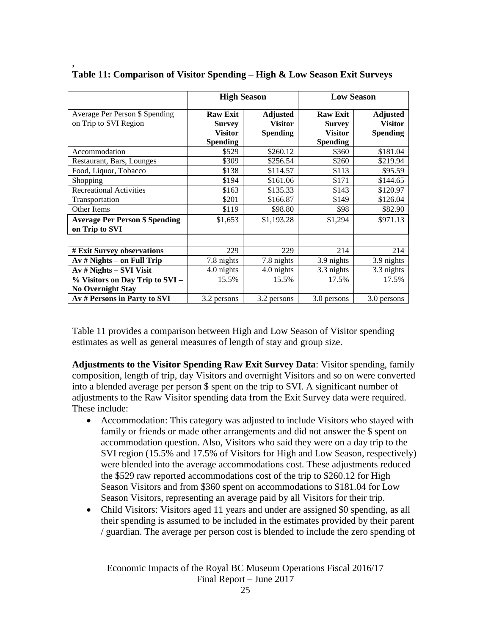|                                                             | <b>High Season</b>                                                    |                                                      | <b>Low Season</b>                                                     |                                                      |
|-------------------------------------------------------------|-----------------------------------------------------------------------|------------------------------------------------------|-----------------------------------------------------------------------|------------------------------------------------------|
| Average Per Person \$ Spending<br>on Trip to SVI Region     | <b>Raw Exit</b><br><b>Survey</b><br><b>Visitor</b><br><b>Spending</b> | <b>Adjusted</b><br><b>Visitor</b><br><b>Spending</b> | <b>Raw Exit</b><br><b>Survey</b><br><b>Visitor</b><br><b>Spending</b> | <b>Adjusted</b><br><b>Visitor</b><br><b>Spending</b> |
| Accommodation                                               | \$529                                                                 | \$260.12                                             | \$360                                                                 | \$181.04                                             |
| Restaurant, Bars, Lounges                                   | \$309                                                                 | \$256.54                                             | \$260                                                                 | \$219.94                                             |
| Food, Liquor, Tobacco                                       | \$138                                                                 | \$114.57                                             | \$113                                                                 | \$95.59                                              |
| Shopping                                                    | \$194                                                                 | \$161.06                                             | \$171                                                                 | \$144.65                                             |
| <b>Recreational Activities</b>                              | \$163                                                                 | \$135.33                                             | \$143                                                                 | \$120.97                                             |
| Transportation                                              | \$201                                                                 | \$166.87                                             | \$149                                                                 | \$126.04                                             |
| Other Items                                                 | \$119                                                                 | \$98.80                                              | \$98                                                                  | \$82.90                                              |
| <b>Average Per Person \$ Spending</b><br>on Trip to SVI     | \$1,653                                                               | \$1,193.28                                           | \$1,294                                                               | \$971.13                                             |
| # Exit Survey observations                                  | 229                                                                   | 229                                                  | 214                                                                   | 214                                                  |
| $Av \# Nights - on Full Trip$                               | 7.8 nights                                                            | 7.8 nights                                           | 3.9 nights                                                            | 3.9 nights                                           |
| $Av \# Nights - SVI Visit$                                  | 4.0 nights                                                            | 4.0 nights                                           | 3.3 nights                                                            | 3.3 nights                                           |
| % Visitors on Day Trip to SVI -<br><b>No Overnight Stay</b> | 15.5%                                                                 | 15.5%                                                | 17.5%                                                                 | 17.5%                                                |
| Av # Persons in Party to SVI                                | 3.2 persons                                                           | 3.2 persons                                          | 3.0 persons                                                           | 3.0 persons                                          |

**Table 11: Comparison of Visitor Spending – High & Low Season Exit Surveys** 

,

Table 11 provides a comparison between High and Low Season of Visitor spending estimates as well as general measures of length of stay and group size.

**Adjustments to the Visitor Spending Raw Exit Survey Data**: Visitor spending, family composition, length of trip, day Visitors and overnight Visitors and so on were converted into a blended average per person \$ spent on the trip to SVI. A significant number of adjustments to the Raw Visitor spending data from the Exit Survey data were required. These include:

- Accommodation: This category was adjusted to include Visitors who stayed with family or friends or made other arrangements and did not answer the \$ spent on accommodation question. Also, Visitors who said they were on a day trip to the SVI region (15.5% and 17.5% of Visitors for High and Low Season, respectively) were blended into the average accommodations cost. These adjustments reduced the \$529 raw reported accommodations cost of the trip to \$260.12 for High Season Visitors and from \$360 spent on accommodations to \$181.04 for Low Season Visitors, representing an average paid by all Visitors for their trip.
- Child Visitors: Visitors aged 11 years and under are assigned \$0 spending, as all their spending is assumed to be included in the estimates provided by their parent / guardian. The average per person cost is blended to include the zero spending of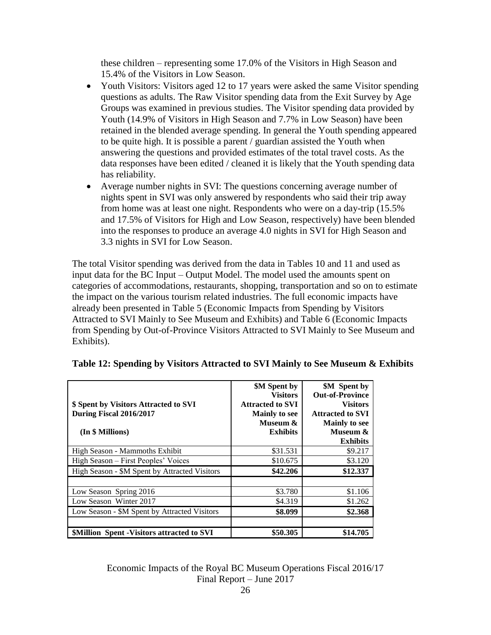these children – representing some 17.0% of the Visitors in High Season and 15.4% of the Visitors in Low Season.

- Youth Visitors: Visitors aged 12 to 17 years were asked the same Visitor spending questions as adults. The Raw Visitor spending data from the Exit Survey by Age Groups was examined in previous studies. The Visitor spending data provided by Youth (14.9% of Visitors in High Season and 7.7% in Low Season) have been retained in the blended average spending. In general the Youth spending appeared to be quite high. It is possible a parent / guardian assisted the Youth when answering the questions and provided estimates of the total travel costs. As the data responses have been edited / cleaned it is likely that the Youth spending data has reliability.
- Average number nights in SVI: The questions concerning average number of nights spent in SVI was only answered by respondents who said their trip away from home was at least one night. Respondents who were on a day-trip (15.5% and 17.5% of Visitors for High and Low Season, respectively) have been blended into the responses to produce an average 4.0 nights in SVI for High Season and 3.3 nights in SVI for Low Season.

The total Visitor spending was derived from the data in Tables 10 and 11 and used as input data for the BC Input – Output Model. The model used the amounts spent on categories of accommodations, restaurants, shopping, transportation and so on to estimate the impact on the various tourism related industries. The full economic impacts have already been presented in Table 5 (Economic Impacts from Spending by Visitors Attracted to SVI Mainly to See Museum and Exhibits) and Table 6 (Economic Impacts from Spending by Out-of-Province Visitors Attracted to SVI Mainly to See Museum and Exhibits).

|                                                   | <b>\$M</b> Spent by<br><b>Visitors</b> | <b>\$M</b> Spent by<br><b>Out-of-Province</b> |
|---------------------------------------------------|----------------------------------------|-----------------------------------------------|
| \$ Spent by Visitors Attracted to SVI             | <b>Attracted to SVI</b>                | <b>Visitors</b>                               |
| During Fiscal 2016/2017                           | <b>Mainly to see</b>                   | <b>Attracted to SVI</b>                       |
|                                                   | Museum &                               | <b>Mainly to see</b>                          |
| (In \$ Millions)                                  | <b>Exhibits</b>                        | Museum &                                      |
|                                                   |                                        | <b>Exhibits</b>                               |
| High Season - Mammoths Exhibit                    | \$31.531                               | \$9.217                                       |
| High Season – First Peoples' Voices               | \$10.675                               | \$3.120                                       |
| High Season - \$M Spent by Attracted Visitors     | \$42,206                               | \$12.337                                      |
|                                                   |                                        |                                               |
| Low Season Spring 2016                            | \$3.780                                | \$1.106                                       |
| Low Season Winter 2017                            | \$4.319                                | \$1.262                                       |
| Low Season - \$M Spent by Attracted Visitors      | \$8.099                                | \$2.368                                       |
| <b>SMillion Spent - Visitors attracted to SVI</b> | \$50.305                               | \$14.705                                      |

**Table 12: Spending by Visitors Attracted to SVI Mainly to See Museum & Exhibits**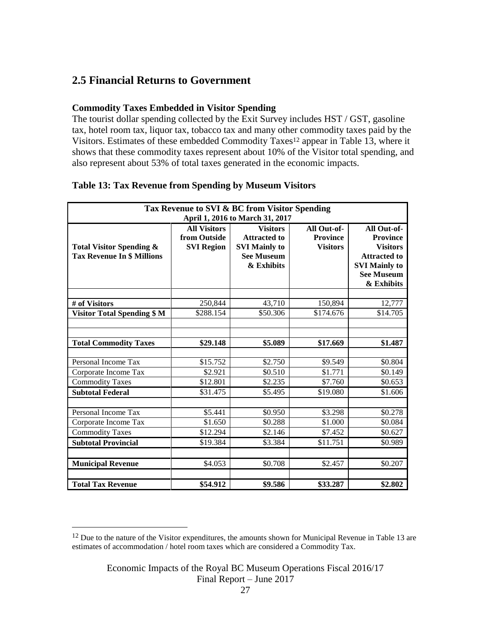# **2.5 Financial Returns to Government**

## **Commodity Taxes Embedded in Visitor Spending**

The tourist dollar spending collected by the Exit Survey includes HST / GST, gasoline tax, hotel room tax, liquor tax, tobacco tax and many other commodity taxes paid by the Visitors. Estimates of these embedded Commodity Taxes<sup>12</sup> appear in Table 13, where it shows that these commodity taxes represent about 10% of the Visitor total spending, and also represent about 53% of total taxes generated in the economic impacts.

| Tax Revenue to SVI & BC from Visitor Spending                                            |                   |                      |                 |                                |  |
|------------------------------------------------------------------------------------------|-------------------|----------------------|-----------------|--------------------------------|--|
| April 1, 2016 to March 31, 2017<br><b>All Visitors</b><br>All Out-of-<br><b>Visitors</b> |                   |                      |                 |                                |  |
|                                                                                          | from Outside      | <b>Attracted to</b>  | <b>Province</b> | All Out-of-<br><b>Province</b> |  |
| <b>Total Visitor Spending &amp;</b>                                                      | <b>SVI Region</b> | <b>SVI Mainly to</b> | <b>Visitors</b> | <b>Visitors</b>                |  |
| <b>Tax Revenue In \$ Millions</b>                                                        |                   | <b>See Museum</b>    |                 | <b>Attracted to</b>            |  |
|                                                                                          |                   | & Exhibits           |                 | <b>SVI Mainly to</b>           |  |
|                                                                                          |                   |                      |                 | <b>See Museum</b>              |  |
|                                                                                          |                   |                      |                 | & Exhibits                     |  |
|                                                                                          |                   |                      |                 |                                |  |
| # of Visitors                                                                            | 250,844           | 43,710               | 150,894         | 12,777                         |  |
| <b>Visitor Total Spending \$ M</b>                                                       | \$288.154         | \$50.306             | \$174.676       | \$14.705                       |  |
|                                                                                          |                   |                      |                 |                                |  |
|                                                                                          |                   |                      |                 |                                |  |
| <b>Total Commodity Taxes</b>                                                             | \$29.148          | \$5.089              | \$17.669        | \$1.487                        |  |
|                                                                                          |                   |                      |                 |                                |  |
| Personal Income Tax                                                                      | \$15.752          | \$2.750              | \$9.549         | \$0.804                        |  |
| Corporate Income Tax                                                                     | \$2.921           | \$0.510              | \$1.771         | \$0.149                        |  |
| <b>Commodity Taxes</b>                                                                   | \$12.801          | \$2.235              | \$7.760         | \$0.653                        |  |
| <b>Subtotal Federal</b>                                                                  | \$31.475          | \$5.495              | \$19.080        | \$1.606                        |  |
|                                                                                          |                   |                      |                 |                                |  |
| Personal Income Tax                                                                      | \$5.441           | \$0.950              | \$3.298         | \$0.278                        |  |
| Corporate Income Tax                                                                     | \$1.650           | \$0.288              | \$1.000         | \$0.084                        |  |
| <b>Commodity Taxes</b>                                                                   | \$12.294          | \$2.146              | \$7.452         | \$0.627                        |  |
| <b>Subtotal Provincial</b>                                                               | \$19.384          | \$3.384              | \$11.751        | \$0.989                        |  |
|                                                                                          |                   |                      |                 |                                |  |
| <b>Municipal Revenue</b>                                                                 | \$4.053           | \$0.708              | \$2.457         | \$0.207                        |  |
|                                                                                          |                   |                      |                 |                                |  |
| <b>Total Tax Revenue</b>                                                                 | \$54.912          | \$9.586              | \$33.287        | \$2.802                        |  |

## **Table 13: Tax Revenue from Spending by Museum Visitors**

<sup>&</sup>lt;sup>12</sup> Due to the nature of the Visitor expenditures, the amounts shown for Municipal Revenue in Table 13 are estimates of accommodation / hotel room taxes which are considered a Commodity Tax.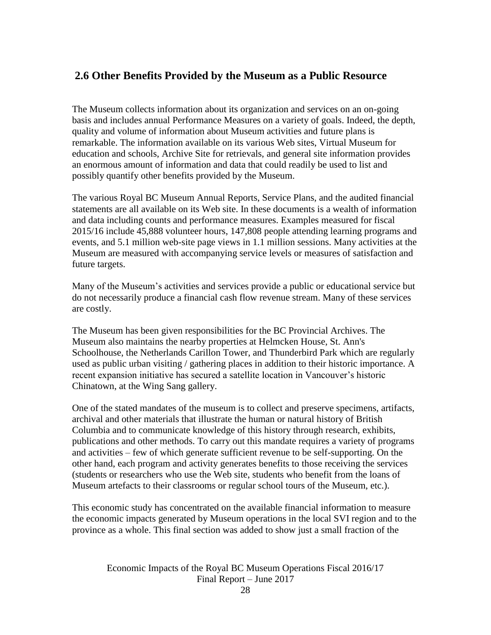# **2.6 Other Benefits Provided by the Museum as a Public Resource**

The Museum collects information about its organization and services on an on-going basis and includes annual Performance Measures on a variety of goals. Indeed, the depth, quality and volume of information about Museum activities and future plans is remarkable. The information available on its various Web sites, Virtual Museum for education and schools, Archive Site for retrievals, and general site information provides an enormous amount of information and data that could readily be used to list and possibly quantify other benefits provided by the Museum.

The various Royal BC Museum Annual Reports, Service Plans, and the audited financial statements are all available on its Web site. In these documents is a wealth of information and data including counts and performance measures. Examples measured for fiscal 2015/16 include 45,888 volunteer hours, 147,808 people attending learning programs and events, and 5.1 million web-site page views in 1.1 million sessions. Many activities at the Museum are measured with accompanying service levels or measures of satisfaction and future targets.

Many of the Museum's activities and services provide a public or educational service but do not necessarily produce a financial cash flow revenue stream. Many of these services are costly.

The Museum has been given responsibilities for the BC Provincial Archives. The Museum also maintains the nearby properties at Helmcken House, St. Ann's Schoolhouse, the Netherlands Carillon Tower, and Thunderbird Park which are regularly used as public urban visiting / gathering places in addition to their historic importance. A recent expansion initiative has secured a satellite location in Vancouver's historic Chinatown, at the Wing Sang gallery.

One of the stated mandates of the museum is to collect and preserve specimens, artifacts, archival and other materials that illustrate the human or natural history of British Columbia and to communicate knowledge of this history through research, exhibits, publications and other methods. To carry out this mandate requires a variety of programs and activities – few of which generate sufficient revenue to be self-supporting. On the other hand, each program and activity generates benefits to those receiving the services (students or researchers who use the Web site, students who benefit from the loans of Museum artefacts to their classrooms or regular school tours of the Museum, etc.).

This economic study has concentrated on the available financial information to measure the economic impacts generated by Museum operations in the local SVI region and to the province as a whole. This final section was added to show just a small fraction of the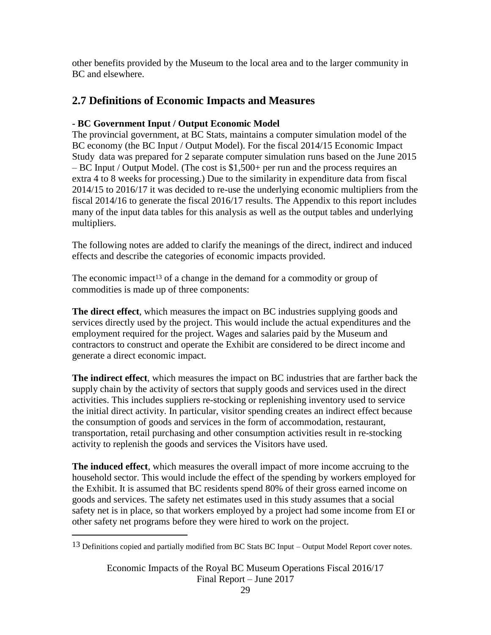other benefits provided by the Museum to the local area and to the larger community in BC and elsewhere.

# **2.7 Definitions of Economic Impacts and Measures**

# **- BC Government Input / Output Economic Model**

The provincial government, at BC Stats, maintains a computer simulation model of the BC economy (the BC Input / Output Model). For the fiscal 2014/15 Economic Impact Study data was prepared for 2 separate computer simulation runs based on the June 2015 – BC Input / Output Model. (The cost is \$1,500+ per run and the process requires an extra 4 to 8 weeks for processing.) Due to the similarity in expenditure data from fiscal 2014/15 to 2016/17 it was decided to re-use the underlying economic multipliers from the fiscal 2014/16 to generate the fiscal 2016/17 results. The Appendix to this report includes many of the input data tables for this analysis as well as the output tables and underlying multipliers.

The following notes are added to clarify the meanings of the direct, indirect and induced effects and describe the categories of economic impacts provided.

The economic impact<sup>13</sup> of a change in the demand for a commodity or group of commodities is made up of three components:

**The direct effect**, which measures the impact on BC industries supplying goods and services directly used by the project. This would include the actual expenditures and the employment required for the project. Wages and salaries paid by the Museum and contractors to construct and operate the Exhibit are considered to be direct income and generate a direct economic impact.

**The indirect effect**, which measures the impact on BC industries that are farther back the supply chain by the activity of sectors that supply goods and services used in the direct activities. This includes suppliers re-stocking or replenishing inventory used to service the initial direct activity. In particular, visitor spending creates an indirect effect because the consumption of goods and services in the form of accommodation, restaurant, transportation, retail purchasing and other consumption activities result in re-stocking activity to replenish the goods and services the Visitors have used.

**The induced effect**, which measures the overall impact of more income accruing to the household sector. This would include the effect of the spending by workers employed for the Exhibit. It is assumed that BC residents spend 80% of their gross earned income on goods and services. The safety net estimates used in this study assumes that a social safety net is in place, so that workers employed by a project had some income from EI or other safety net programs before they were hired to work on the project.

<sup>13</sup> Definitions copied and partially modified from BC Stats BC Input – Output Model Report cover notes.

Economic Impacts of the Royal BC Museum Operations Fiscal 2016/17 Final Report – June 2017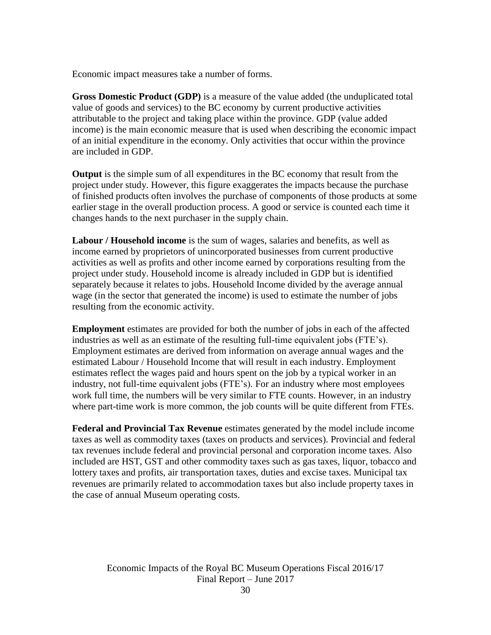Economic impact measures take a number of forms.

**Gross Domestic Product (GDP)** is a measure of the value added (the unduplicated total value of goods and services) to the BC economy by current productive activities attributable to the project and taking place within the province. GDP (value added income) is the main economic measure that is used when describing the economic impact of an initial expenditure in the economy. Only activities that occur within the province are included in GDP.

**Output** is the simple sum of all expenditures in the BC economy that result from the project under study. However, this figure exaggerates the impacts because the purchase of finished products often involves the purchase of components of those products at some earlier stage in the overall production process. A good or service is counted each time it changes hands to the next purchaser in the supply chain.

**Labour / Household income** is the sum of wages, salaries and benefits, as well as income earned by proprietors of unincorporated businesses from current productive activities as well as profits and other income earned by corporations resulting from the project under study. Household income is already included in GDP but is identified separately because it relates to jobs. Household Income divided by the average annual wage (in the sector that generated the income) is used to estimate the number of jobs resulting from the economic activity.

**Employment** estimates are provided for both the number of jobs in each of the affected industries as well as an estimate of the resulting full-time equivalent jobs (FTE's). Employment estimates are derived from information on average annual wages and the estimated Labour / Household Income that will result in each industry. Employment estimates reflect the wages paid and hours spent on the job by a typical worker in an industry, not full-time equivalent jobs (FTE's). For an industry where most employees work full time, the numbers will be very similar to FTE counts. However, in an industry where part-time work is more common, the job counts will be quite different from FTEs.

**Federal and Provincial Tax Revenue** estimates generated by the model include income taxes as well as commodity taxes (taxes on products and services). Provincial and federal tax revenues include federal and provincial personal and corporation income taxes. Also included are HST, GST and other commodity taxes such as gas taxes, liquor, tobacco and lottery taxes and profits, air transportation taxes, duties and excise taxes. Municipal tax revenues are primarily related to accommodation taxes but also include property taxes in the case of annual Museum operating costs.